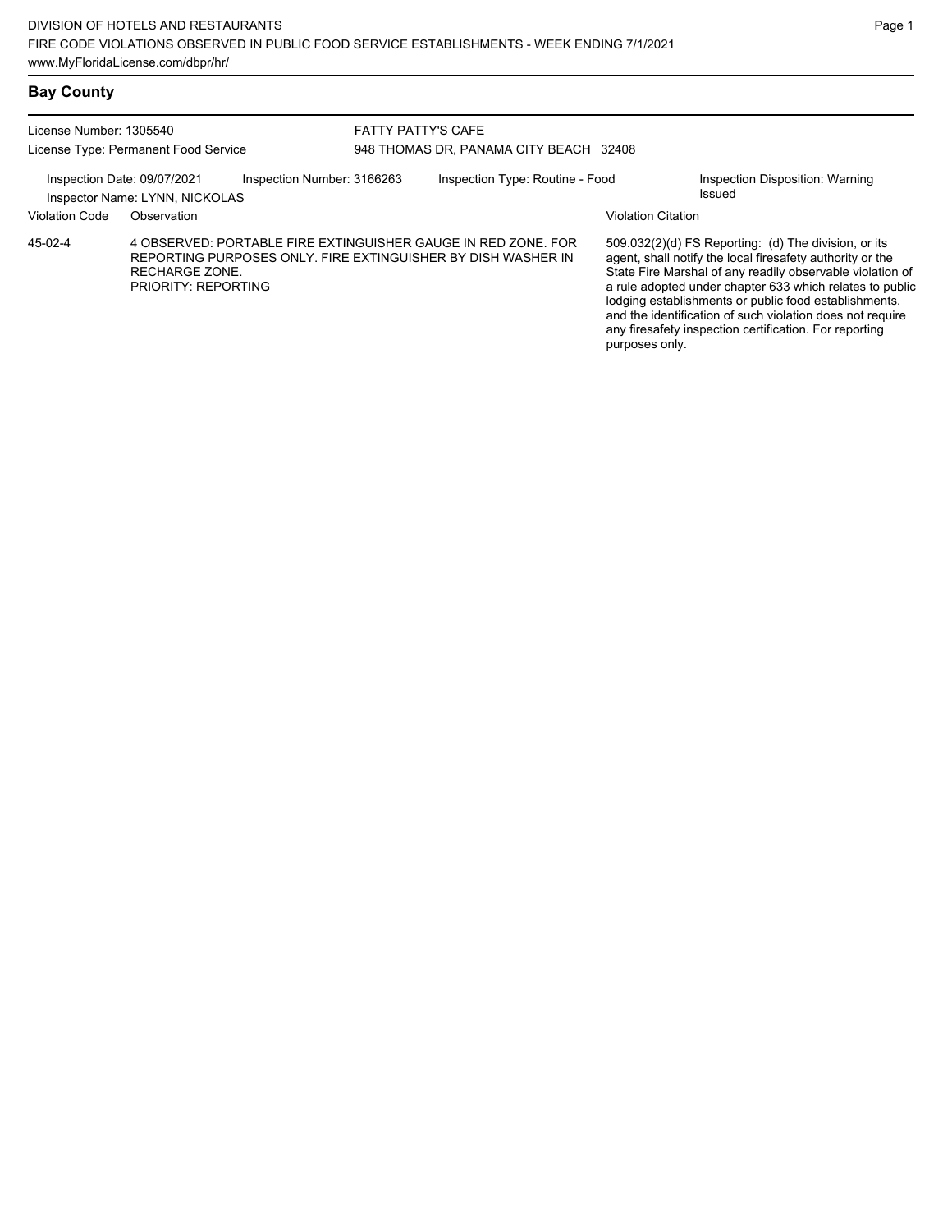### **Bay County**

| License Number: 1305540<br>License Type: Permanent Food Service                             |                                              |  | <b>FATTY PATTY'S CAFE</b><br>948 THOMAS DR, PANAMA CITY BEACH 32408 |                                                                                                                               |                                                  |                                                                                                                                                                                                                                                                                                                                                                                                                            |  |
|---------------------------------------------------------------------------------------------|----------------------------------------------|--|---------------------------------------------------------------------|-------------------------------------------------------------------------------------------------------------------------------|--------------------------------------------------|----------------------------------------------------------------------------------------------------------------------------------------------------------------------------------------------------------------------------------------------------------------------------------------------------------------------------------------------------------------------------------------------------------------------------|--|
| Inspection Date: 09/07/2021<br>Inspection Number: 3166263<br>Inspector Name: LYNN, NICKOLAS |                                              |  | Inspection Type: Routine - Food                                     |                                                                                                                               | Inspection Disposition: Warning<br><b>Issued</b> |                                                                                                                                                                                                                                                                                                                                                                                                                            |  |
| <b>Violation Code</b>                                                                       | Observation                                  |  |                                                                     |                                                                                                                               | <b>Violation Citation</b>                        |                                                                                                                                                                                                                                                                                                                                                                                                                            |  |
| $45-02-4$                                                                                   | <b>RECHARGE ZONE.</b><br>PRIORITY: REPORTING |  |                                                                     | 4 OBSERVED: PORTABLE FIRE EXTINGUISHER GAUGE IN RED ZONE, FOR<br>REPORTING PURPOSES ONLY. FIRE EXTINGUISHER BY DISH WASHER IN | purposes only.                                   | 509.032(2)(d) FS Reporting: (d) The division, or its<br>agent, shall notify the local firesafety authority or the<br>State Fire Marshal of any readily observable violation of<br>a rule adopted under chapter 633 which relates to public<br>lodging establishments or public food establishments,<br>and the identification of such violation does not require<br>any firesafety inspection certification. For reporting |  |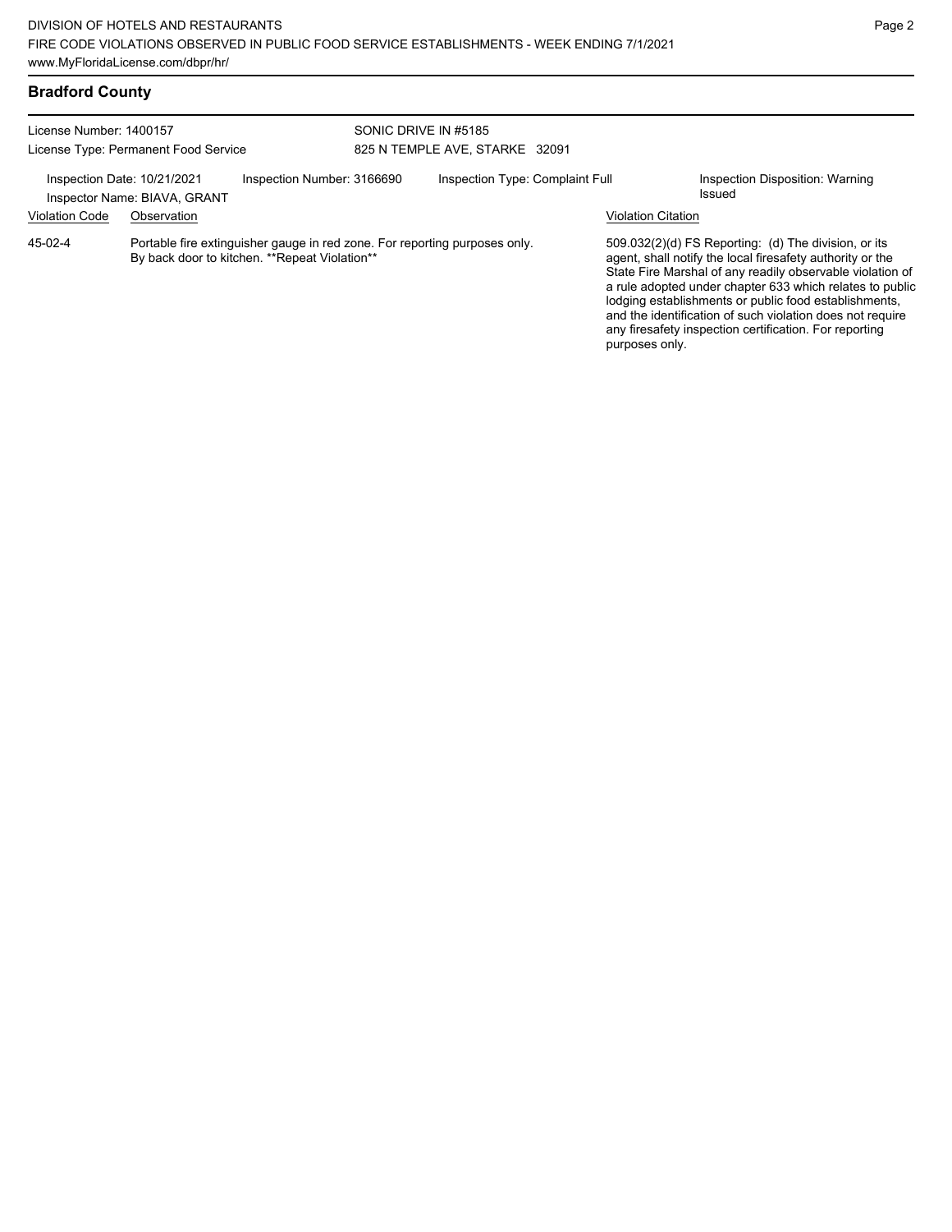| <b>Bradford County</b> |  |
|------------------------|--|
|------------------------|--|

| License Number: 1400157<br>License Type: Permanent Food Service |                                             |                                                                                                                              | SONIC DRIVE IN #5185<br>825 N TEMPLE AVE, STARKE 32091 |                                 |  |                           |                                                                                                                                                                                                                                                                                                                                                                                                                            |
|-----------------------------------------------------------------|---------------------------------------------|------------------------------------------------------------------------------------------------------------------------------|--------------------------------------------------------|---------------------------------|--|---------------------------|----------------------------------------------------------------------------------------------------------------------------------------------------------------------------------------------------------------------------------------------------------------------------------------------------------------------------------------------------------------------------------------------------------------------------|
| Inspection Date: 10/21/2021<br><b>Violation Code</b>            | Inspector Name: BIAVA, GRANT<br>Observation | Inspection Number: 3166690                                                                                                   |                                                        | Inspection Type: Complaint Full |  | <b>Violation Citation</b> | Inspection Disposition: Warning<br>Issued                                                                                                                                                                                                                                                                                                                                                                                  |
| 45-02-4                                                         |                                             | Portable fire extinguisher gauge in red zone. For reporting purposes only.<br>By back door to kitchen. ** Repeat Violation** |                                                        |                                 |  | purposes only.            | 509.032(2)(d) FS Reporting: (d) The division, or its<br>agent, shall notify the local firesafety authority or the<br>State Fire Marshal of any readily observable violation of<br>a rule adopted under chapter 633 which relates to public<br>lodging establishments or public food establishments,<br>and the identification of such violation does not require<br>any firesafety inspection certification. For reporting |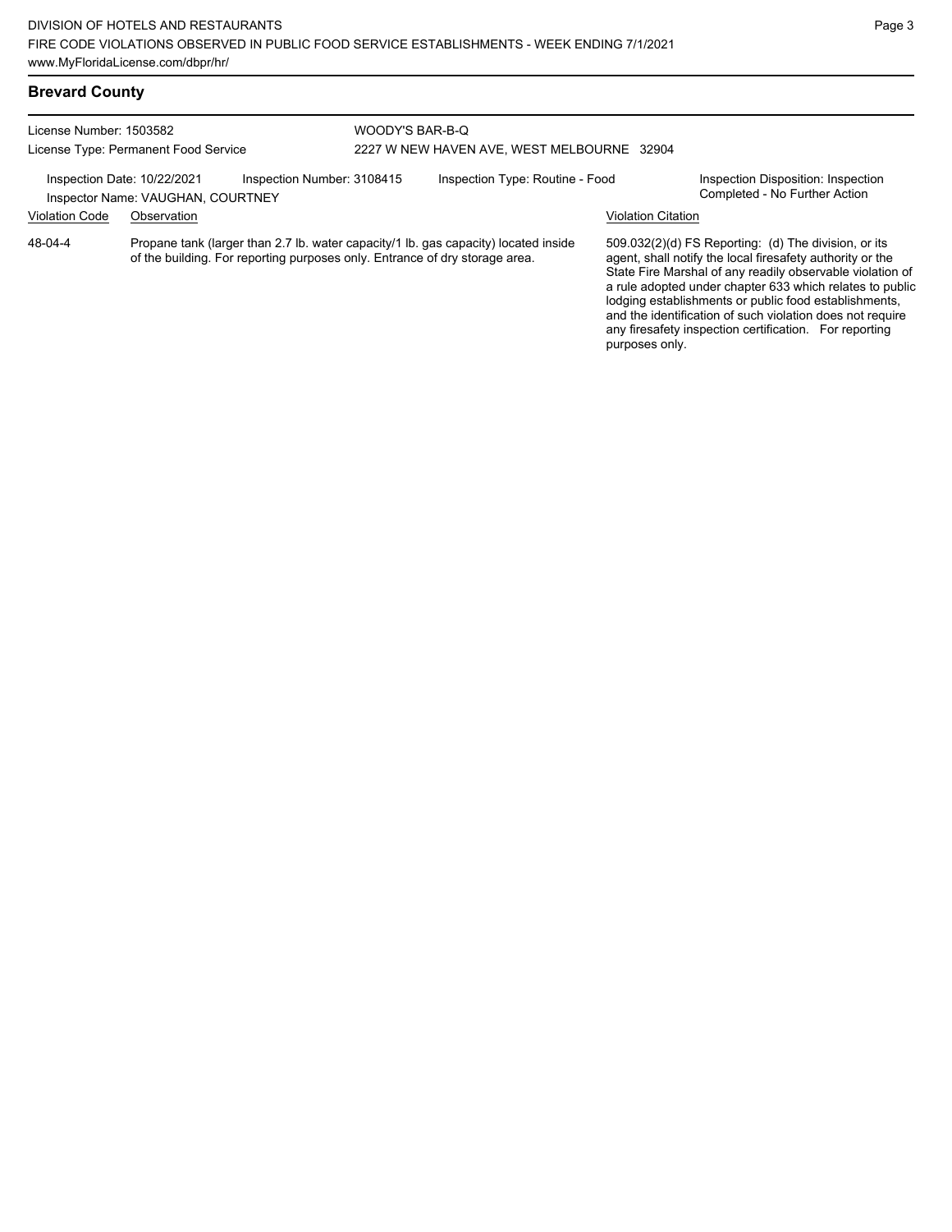| License Number: 1503582<br>License Type: Permanent Food Service |                                   | WOODY'S BAR-B-Q<br>2227 W NEW HAVEN AVE, WEST MELBOURNE 32904               |  |                                                                                     |                    |                                                                                                                                                                                                                                                                                                                                                                  |
|-----------------------------------------------------------------|-----------------------------------|-----------------------------------------------------------------------------|--|-------------------------------------------------------------------------------------|--------------------|------------------------------------------------------------------------------------------------------------------------------------------------------------------------------------------------------------------------------------------------------------------------------------------------------------------------------------------------------------------|
| Inspection Date: 10/22/2021                                     | Inspector Name: VAUGHAN, COURTNEY | Inspection Number: 3108415                                                  |  | Inspection Type: Routine - Food                                                     |                    | Inspection Disposition: Inspection<br>Completed - No Further Action                                                                                                                                                                                                                                                                                              |
| <b>Violation Code</b>                                           | Observation                       |                                                                             |  |                                                                                     | Violation Citation |                                                                                                                                                                                                                                                                                                                                                                  |
| 48-04-4                                                         |                                   | of the building. For reporting purposes only. Entrance of dry storage area. |  | Propane tank (larger than 2.7 lb. water capacity/1 lb. gas capacity) located inside |                    | 509.032(2)(d) FS Reporting: (d) The division, or its<br>agent, shall notify the local firesafety authority or the<br>State Fire Marshal of any readily observable violation of<br>a rule adopted under chapter 633 which relates to public<br>lodging establishments or public food establishments,<br>and the identification of such violation does not require |

any firesafety inspection certification. For reporting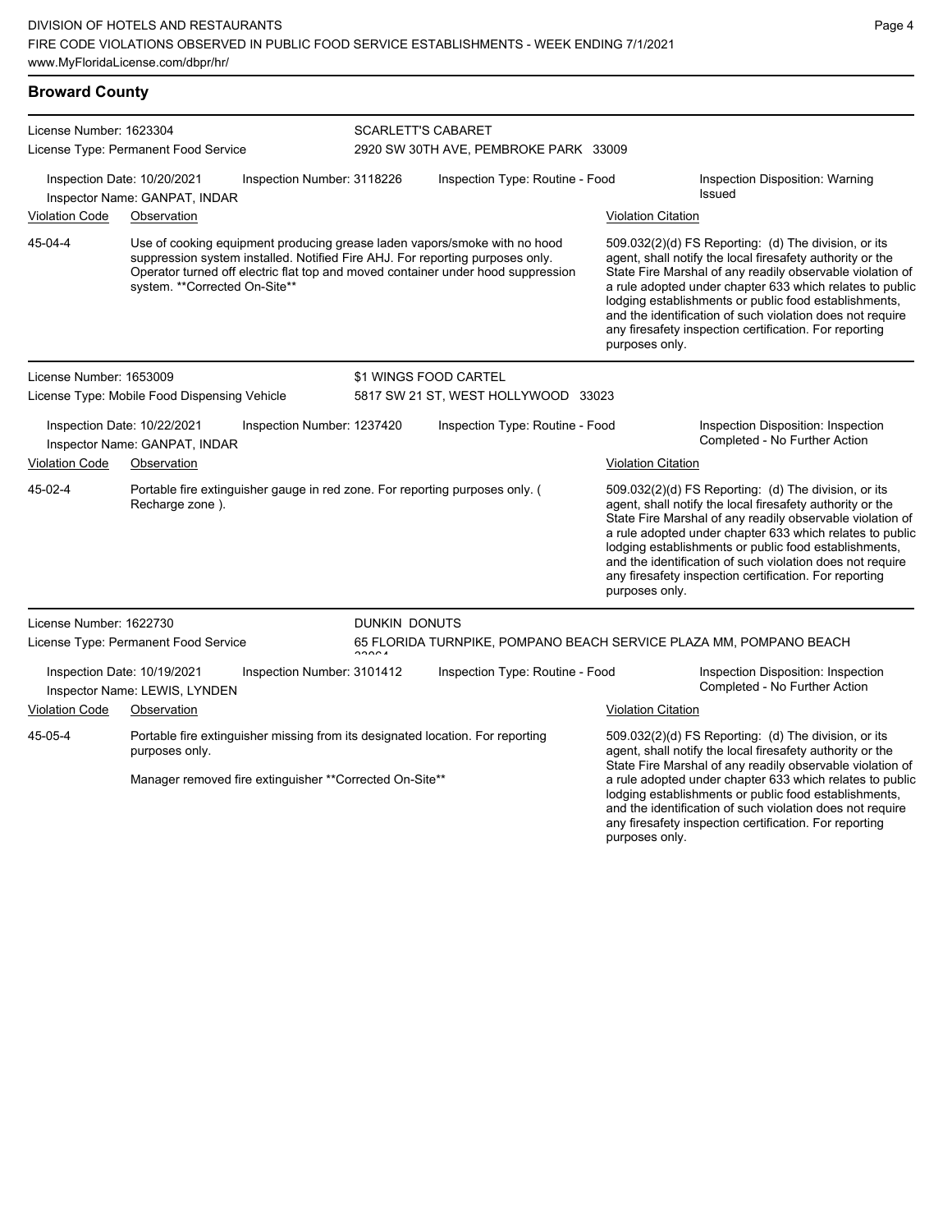| <b>Broward County</b>                                                                      |                                                              |                                                          |                                 |                                                                                                                                                                                                                                                |                                                  |                                                                                                                                                                                                                                                                                                                                                                                                                              |  |  |
|--------------------------------------------------------------------------------------------|--------------------------------------------------------------|----------------------------------------------------------|---------------------------------|------------------------------------------------------------------------------------------------------------------------------------------------------------------------------------------------------------------------------------------------|--------------------------------------------------|------------------------------------------------------------------------------------------------------------------------------------------------------------------------------------------------------------------------------------------------------------------------------------------------------------------------------------------------------------------------------------------------------------------------------|--|--|
| License Number: 1623304                                                                    | License Type: Permanent Food Service                         |                                                          |                                 | <b>SCARLETT'S CABARET</b><br>2920 SW 30TH AVE, PEMBROKE PARK 33009                                                                                                                                                                             |                                                  |                                                                                                                                                                                                                                                                                                                                                                                                                              |  |  |
| Inspection Date: 10/20/2021<br>Inspection Number: 3118226<br>Inspector Name: GANPAT, INDAR |                                                              |                                                          | Inspection Type: Routine - Food |                                                                                                                                                                                                                                                | Inspection Disposition: Warning<br><b>Issued</b> |                                                                                                                                                                                                                                                                                                                                                                                                                              |  |  |
| Violation Code                                                                             | Observation                                                  |                                                          |                                 |                                                                                                                                                                                                                                                | <b>Violation Citation</b>                        |                                                                                                                                                                                                                                                                                                                                                                                                                              |  |  |
| 45-04-4                                                                                    | system. **Corrected On-Site**                                |                                                          |                                 | Use of cooking equipment producing grease laden vapors/smoke with no hood<br>suppression system installed. Notified Fire AHJ. For reporting purposes only.<br>Operator turned off electric flat top and moved container under hood suppression | purposes only.                                   | $509.032(2)(d)$ FS Reporting: (d) The division, or its<br>agent, shall notify the local firesafety authority or the<br>State Fire Marshal of any readily observable violation of<br>a rule adopted under chapter 633 which relates to public<br>lodging establishments or public food establishments,<br>and the identification of such violation does not require<br>any firesafety inspection certification. For reporting |  |  |
| License Number: 1653009                                                                    |                                                              |                                                          |                                 | \$1 WINGS FOOD CARTEL                                                                                                                                                                                                                          |                                                  |                                                                                                                                                                                                                                                                                                                                                                                                                              |  |  |
|                                                                                            | License Type: Mobile Food Dispensing Vehicle                 |                                                          |                                 | 5817 SW 21 ST, WEST HOLLYWOOD 33023                                                                                                                                                                                                            |                                                  |                                                                                                                                                                                                                                                                                                                                                                                                                              |  |  |
|                                                                                            | Inspection Date: 10/22/2021<br>Inspector Name: GANPAT, INDAR | Inspection Number: 1237420                               |                                 | Inspection Type: Routine - Food                                                                                                                                                                                                                |                                                  | Inspection Disposition: Inspection<br>Completed - No Further Action                                                                                                                                                                                                                                                                                                                                                          |  |  |
| <b>Violation Code</b>                                                                      | Observation                                                  |                                                          |                                 |                                                                                                                                                                                                                                                | <b>Violation Citation</b>                        |                                                                                                                                                                                                                                                                                                                                                                                                                              |  |  |
| 45-02-4                                                                                    | Recharge zone).                                              |                                                          |                                 | Portable fire extinguisher gauge in red zone. For reporting purposes only. (                                                                                                                                                                   | purposes only.                                   | 509.032(2)(d) FS Reporting: (d) The division, or its<br>agent, shall notify the local firesafety authority or the<br>State Fire Marshal of any readily observable violation of<br>a rule adopted under chapter 633 which relates to public<br>lodging establishments or public food establishments,<br>and the identification of such violation does not require<br>any firesafety inspection certification. For reporting   |  |  |
| License Number: 1622730                                                                    |                                                              |                                                          | DUNKIN DONUTS                   |                                                                                                                                                                                                                                                |                                                  |                                                                                                                                                                                                                                                                                                                                                                                                                              |  |  |
|                                                                                            | License Type: Permanent Food Service                         |                                                          | 00001                           | 65 FLORIDA TURNPIKE, POMPANO BEACH SERVICE PLAZA MM, POMPANO BEACH                                                                                                                                                                             |                                                  |                                                                                                                                                                                                                                                                                                                                                                                                                              |  |  |
|                                                                                            | Inspection Date: 10/19/2021<br>Inspector Name: LEWIS, LYNDEN | Inspection Number: 3101412                               |                                 | Inspection Type: Routine - Food                                                                                                                                                                                                                |                                                  | Inspection Disposition: Inspection<br>Completed - No Further Action                                                                                                                                                                                                                                                                                                                                                          |  |  |
| <b>Violation Code</b>                                                                      | Observation                                                  |                                                          |                                 |                                                                                                                                                                                                                                                | <b>Violation Citation</b>                        |                                                                                                                                                                                                                                                                                                                                                                                                                              |  |  |
| 45-05-4                                                                                    | purposes only.                                               |                                                          |                                 | Portable fire extinguisher missing from its designated location. For reporting                                                                                                                                                                 |                                                  | $509.032(2)(d)$ FS Reporting: (d) The division, or its<br>agent, shall notify the local firesafety authority or the<br>State Fire Marshal of any readily observable violation of                                                                                                                                                                                                                                             |  |  |
|                                                                                            |                                                              | Manager removed fire extinguisher ** Corrected On-Site** |                                 |                                                                                                                                                                                                                                                |                                                  | a rule adopted under chapter 633 which relates to public<br>lodging establishments or public food establishments,<br>and the identification of such violation does not require                                                                                                                                                                                                                                               |  |  |

any firesafety inspection certification. For reporting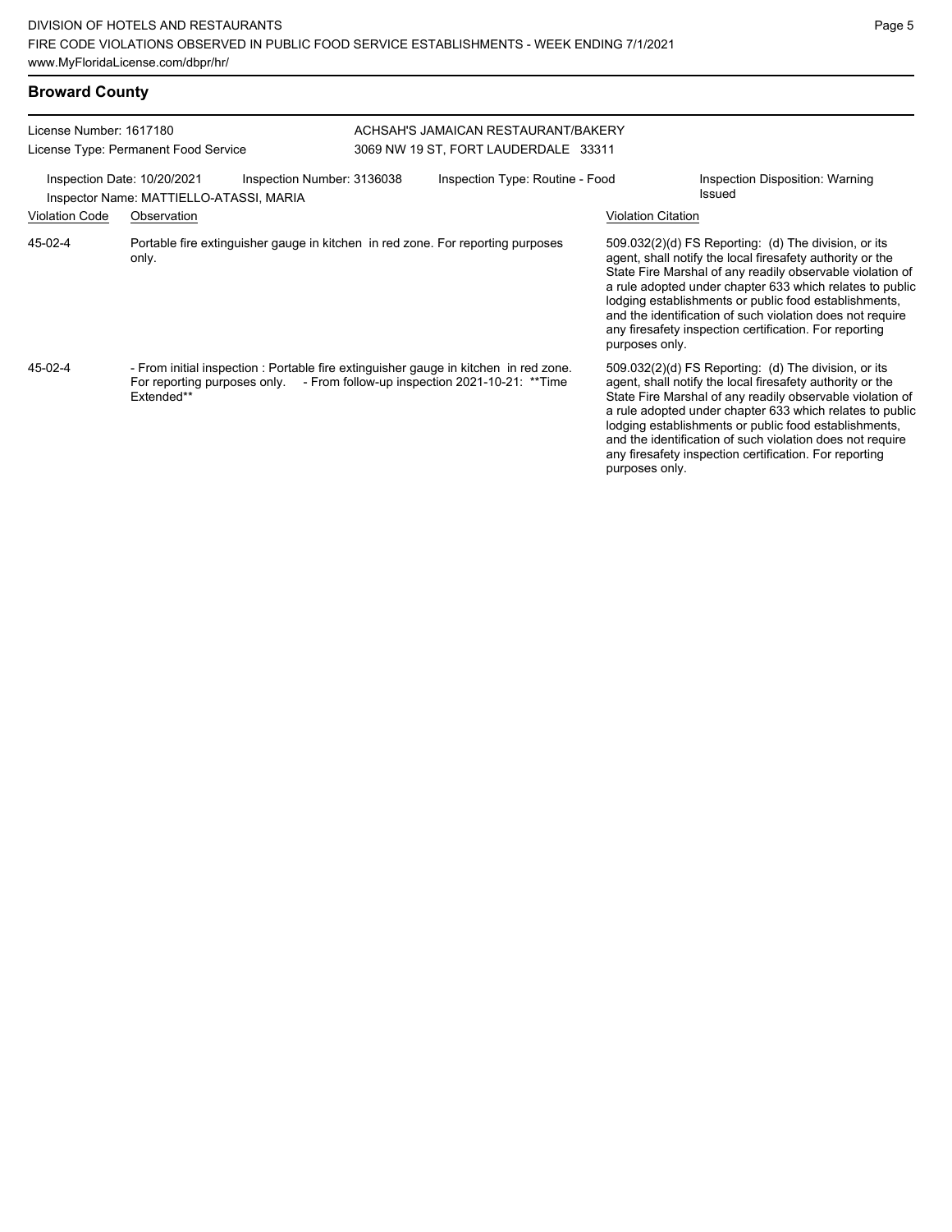| <b>Broward County</b>                                           |                                                                                                                                                                                   |                                                                             |                           |                                                                                                                                                                                                                                                                                                                                                                                                                            |  |  |
|-----------------------------------------------------------------|-----------------------------------------------------------------------------------------------------------------------------------------------------------------------------------|-----------------------------------------------------------------------------|---------------------------|----------------------------------------------------------------------------------------------------------------------------------------------------------------------------------------------------------------------------------------------------------------------------------------------------------------------------------------------------------------------------------------------------------------------------|--|--|
| License Number: 1617180<br>License Type: Permanent Food Service |                                                                                                                                                                                   | ACHSAH'S JAMAICAN RESTAURANT/BAKERY<br>3069 NW 19 ST, FORT LAUDERDALE 33311 |                           |                                                                                                                                                                                                                                                                                                                                                                                                                            |  |  |
|                                                                 | Inspection Date: 10/20/2021<br>Inspection Number: 3136038<br>Inspector Name: MATTIELLO-ATASSI, MARIA                                                                              | Inspection Type: Routine - Food                                             |                           | Inspection Disposition: Warning<br>Issued                                                                                                                                                                                                                                                                                                                                                                                  |  |  |
| <b>Violation Code</b>                                           | Observation                                                                                                                                                                       |                                                                             | <b>Violation Citation</b> |                                                                                                                                                                                                                                                                                                                                                                                                                            |  |  |
| 45-02-4                                                         | Portable fire extinguisher gauge in kitchen in red zone. For reporting purposes<br>only.                                                                                          |                                                                             | purposes only.            | 509.032(2)(d) FS Reporting: (d) The division, or its<br>agent, shall notify the local firesafety authority or the<br>State Fire Marshal of any readily observable violation of<br>a rule adopted under chapter 633 which relates to public<br>lodging establishments or public food establishments,<br>and the identification of such violation does not require<br>any firesafety inspection certification. For reporting |  |  |
| $45-02-4$                                                       | - From initial inspection : Portable fire extinguisher gauge in kitchen in red zone.<br>For reporting purposes only. - From follow-up inspection 2021-10-21: **Time<br>Extended** |                                                                             | purposes only.            | 509.032(2)(d) FS Reporting: (d) The division, or its<br>agent, shall notify the local firesafety authority or the<br>State Fire Marshal of any readily observable violation of<br>a rule adopted under chapter 633 which relates to public<br>lodging establishments or public food establishments,<br>and the identification of such violation does not require<br>any firesafety inspection certification. For reporting |  |  |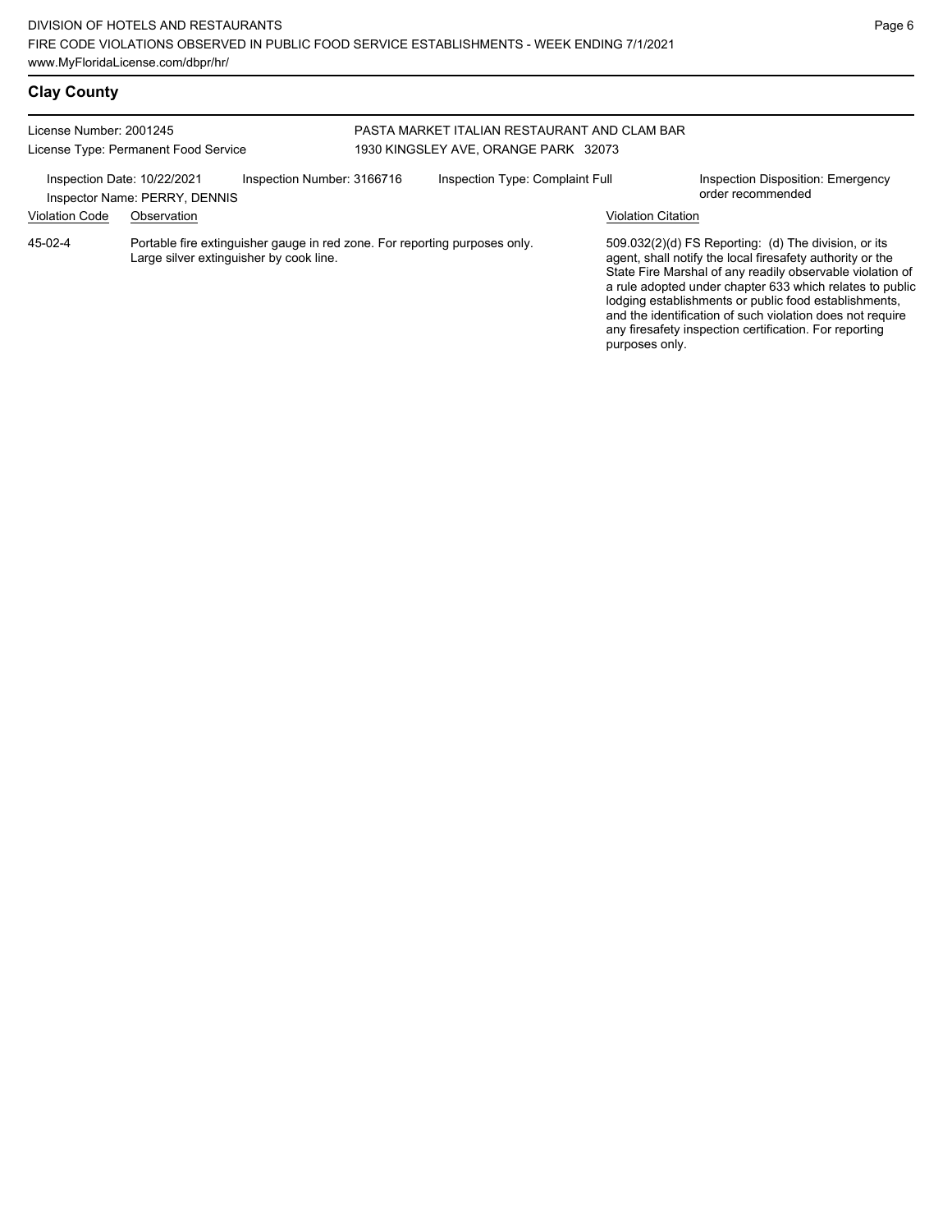# **Clay County**

| License Number: 2001245                              | License Type: Permanent Food Service                                                                                  | PASTA MARKET ITALIAN RESTAURANT AND CLAM BAR<br>1930 KINGSLEY AVE, ORANGE PARK 32073 |                                 |                           |                                                                                                                                                                                                                                                                                                                                                                                                                              |  |
|------------------------------------------------------|-----------------------------------------------------------------------------------------------------------------------|--------------------------------------------------------------------------------------|---------------------------------|---------------------------|------------------------------------------------------------------------------------------------------------------------------------------------------------------------------------------------------------------------------------------------------------------------------------------------------------------------------------------------------------------------------------------------------------------------------|--|
| Inspection Date: 10/22/2021<br><b>Violation Code</b> | Inspection Number: 3166716<br>Inspector Name: PERRY, DENNIS<br>Observation                                            |                                                                                      | Inspection Type: Complaint Full | <b>Violation Citation</b> | Inspection Disposition: Emergency<br>order recommended                                                                                                                                                                                                                                                                                                                                                                       |  |
| $45-02-4$                                            | Portable fire extinguisher gauge in red zone. For reporting purposes only.<br>Large silver extinguisher by cook line. |                                                                                      |                                 | purposes only.            | $509.032(2)(d)$ FS Reporting: (d) The division, or its<br>agent, shall notify the local firesafety authority or the<br>State Fire Marshal of any readily observable violation of<br>a rule adopted under chapter 633 which relates to public<br>lodging establishments or public food establishments,<br>and the identification of such violation does not require<br>any firesafety inspection certification. For reporting |  |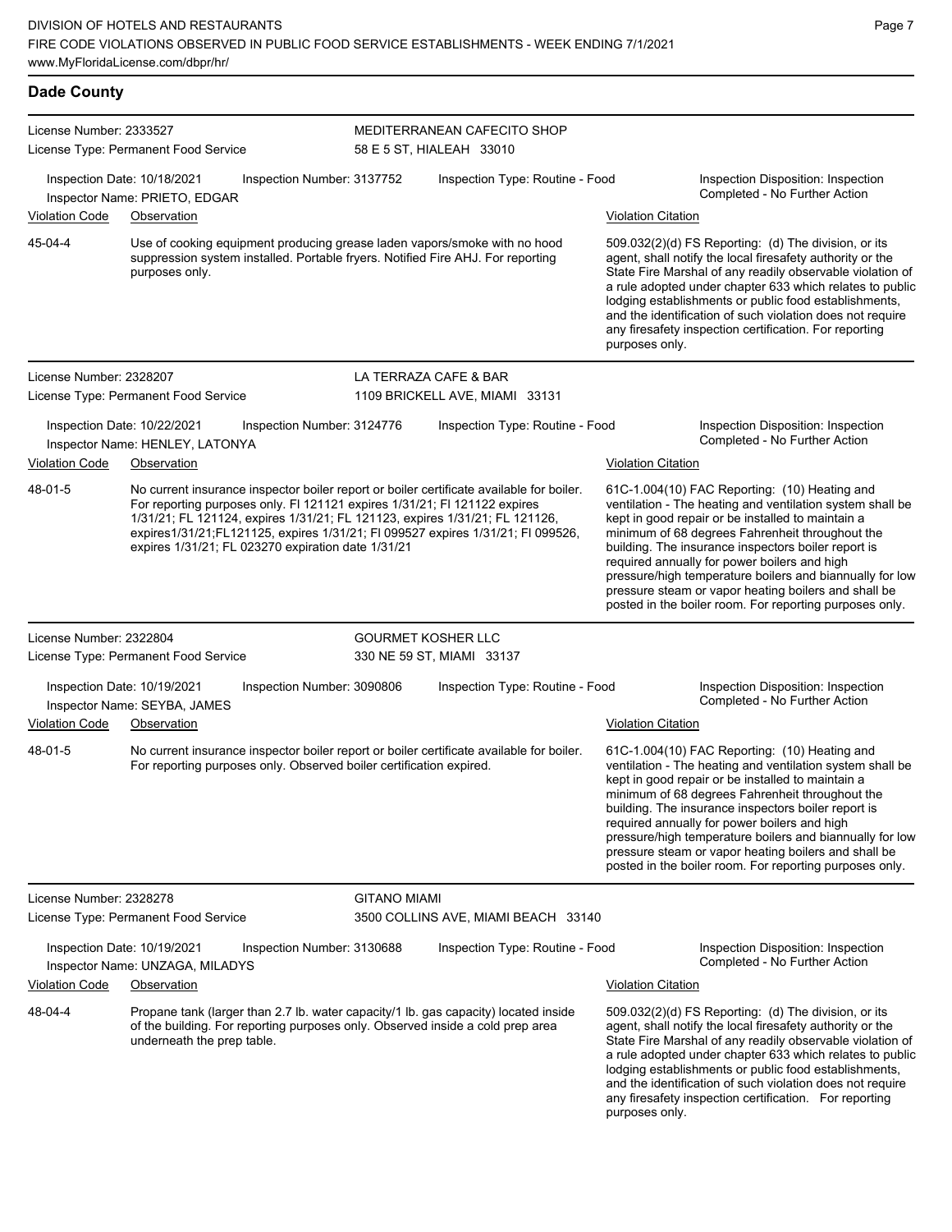| <b>Dade County</b>      |                                                                                                                                                                                                                                                                                                                                                                                               |                            |                                                         |                           |                                                                                                                                                                                                                                                                                                                                                                                                                                                                                                          |
|-------------------------|-----------------------------------------------------------------------------------------------------------------------------------------------------------------------------------------------------------------------------------------------------------------------------------------------------------------------------------------------------------------------------------------------|----------------------------|---------------------------------------------------------|---------------------------|----------------------------------------------------------------------------------------------------------------------------------------------------------------------------------------------------------------------------------------------------------------------------------------------------------------------------------------------------------------------------------------------------------------------------------------------------------------------------------------------------------|
| License Number: 2333527 | License Type: Permanent Food Service                                                                                                                                                                                                                                                                                                                                                          |                            | MEDITERRANEAN CAFECITO SHOP<br>58 E 5 ST, HIALEAH 33010 |                           |                                                                                                                                                                                                                                                                                                                                                                                                                                                                                                          |
|                         | Inspection Date: 10/18/2021<br>Inspector Name: PRIETO, EDGAR                                                                                                                                                                                                                                                                                                                                  | Inspection Number: 3137752 | Inspection Type: Routine - Food                         |                           | Inspection Disposition: Inspection<br>Completed - No Further Action                                                                                                                                                                                                                                                                                                                                                                                                                                      |
| <b>Violation Code</b>   | Observation                                                                                                                                                                                                                                                                                                                                                                                   |                            |                                                         | <b>Violation Citation</b> |                                                                                                                                                                                                                                                                                                                                                                                                                                                                                                          |
| 45-04-4                 | Use of cooking equipment producing grease laden vapors/smoke with no hood<br>suppression system installed. Portable fryers. Notified Fire AHJ. For reporting<br>purposes only.                                                                                                                                                                                                                |                            |                                                         | purposes only.            | 509.032(2)(d) FS Reporting: (d) The division, or its<br>agent, shall notify the local firesafety authority or the<br>State Fire Marshal of any readily observable violation of<br>a rule adopted under chapter 633 which relates to public<br>lodging establishments or public food establishments,<br>and the identification of such violation does not require<br>any firesafety inspection certification. For reporting                                                                               |
| License Number: 2328207 |                                                                                                                                                                                                                                                                                                                                                                                               |                            | LA TERRAZA CAFE & BAR                                   |                           |                                                                                                                                                                                                                                                                                                                                                                                                                                                                                                          |
|                         | License Type: Permanent Food Service                                                                                                                                                                                                                                                                                                                                                          |                            | 1109 BRICKELL AVE, MIAMI 33131                          |                           |                                                                                                                                                                                                                                                                                                                                                                                                                                                                                                          |
|                         | Inspection Date: 10/22/2021<br>Inspector Name: HENLEY, LATONYA                                                                                                                                                                                                                                                                                                                                | Inspection Number: 3124776 | Inspection Type: Routine - Food                         |                           | Inspection Disposition: Inspection<br>Completed - No Further Action                                                                                                                                                                                                                                                                                                                                                                                                                                      |
| <b>Violation Code</b>   | Observation                                                                                                                                                                                                                                                                                                                                                                                   |                            |                                                         | <b>Violation Citation</b> |                                                                                                                                                                                                                                                                                                                                                                                                                                                                                                          |
| 48-01-5                 | No current insurance inspector boiler report or boiler certificate available for boiler.<br>For reporting purposes only. FI 121121 expires 1/31/21; FI 121122 expires<br>1/31/21; FL 121124, expires 1/31/21; FL 121123, expires 1/31/21; FL 121126,<br>expires1/31/21;FL121125, expires 1/31/21; FI 099527 expires 1/31/21; FI 099526,<br>expires 1/31/21; FL 023270 expiration date 1/31/21 |                            |                                                         |                           | 61C-1.004(10) FAC Reporting: (10) Heating and<br>ventilation - The heating and ventilation system shall be<br>kept in good repair or be installed to maintain a<br>minimum of 68 degrees Fahrenheit throughout the<br>building. The insurance inspectors boiler report is<br>required annually for power boilers and high<br>pressure/high temperature boilers and biannually for low<br>pressure steam or vapor heating boilers and shall be<br>posted in the boiler room. For reporting purposes only. |
| License Number: 2322804 |                                                                                                                                                                                                                                                                                                                                                                                               |                            | <b>GOURMET KOSHER LLC</b>                               |                           |                                                                                                                                                                                                                                                                                                                                                                                                                                                                                                          |
|                         | License Type: Permanent Food Service                                                                                                                                                                                                                                                                                                                                                          |                            | 330 NE 59 ST, MIAMI 33137                               |                           |                                                                                                                                                                                                                                                                                                                                                                                                                                                                                                          |
| <b>Violation Code</b>   | Inspection Date: 10/19/2021<br>Inspector Name: SEYBA, JAMES<br>Observation                                                                                                                                                                                                                                                                                                                    | Inspection Number: 3090806 | Inspection Type: Routine - Food                         | <b>Violation Citation</b> | Inspection Disposition: Inspection<br>Completed - No Further Action                                                                                                                                                                                                                                                                                                                                                                                                                                      |
| 48-01-5                 | No current insurance inspector boiler report or boiler certificate available for boiler.<br>For reporting purposes only. Observed boiler certification expired.                                                                                                                                                                                                                               |                            |                                                         |                           | 61C-1.004(10) FAC Reporting: (10) Heating and<br>ventilation - The heating and ventilation system shall be<br>kept in good repair or be installed to maintain a<br>minimum of 68 degrees Fahrenheit throughout the<br>building. The insurance inspectors boiler report is<br>required annually for power boilers and high<br>pressure/high temperature boilers and biannually for low<br>pressure steam or vapor heating boilers and shall be<br>posted in the boiler room. For reporting purposes only. |
| License Number: 2328278 |                                                                                                                                                                                                                                                                                                                                                                                               | <b>GITANO MIAMI</b>        |                                                         |                           |                                                                                                                                                                                                                                                                                                                                                                                                                                                                                                          |
|                         | License Type: Permanent Food Service                                                                                                                                                                                                                                                                                                                                                          |                            | 3500 COLLINS AVE, MIAMI BEACH 33140                     |                           |                                                                                                                                                                                                                                                                                                                                                                                                                                                                                                          |
|                         | Inspection Date: 10/19/2021<br>Inspector Name: UNZAGA, MILADYS                                                                                                                                                                                                                                                                                                                                | Inspection Number: 3130688 | Inspection Type: Routine - Food                         |                           | Inspection Disposition: Inspection<br>Completed - No Further Action                                                                                                                                                                                                                                                                                                                                                                                                                                      |
| <b>Violation Code</b>   | Observation                                                                                                                                                                                                                                                                                                                                                                                   |                            |                                                         | <b>Violation Citation</b> |                                                                                                                                                                                                                                                                                                                                                                                                                                                                                                          |
| 48-04-4                 | Propane tank (larger than 2.7 lb. water capacity/1 lb. gas capacity) located inside<br>of the building. For reporting purposes only. Observed inside a cold prep area<br>underneath the prep table.                                                                                                                                                                                           |                            |                                                         |                           | 509.032(2)(d) FS Reporting: (d) The division, or its<br>agent, shall notify the local firesafety authority or the<br>State Fire Marshal of any readily observable violation of                                                                                                                                                                                                                                                                                                                           |

a rule adopted under chapter 633 which relates to public lodging establishments or public food establishments, and the identification of such violation does not require any firesafety inspection certification. For reporting purposes only.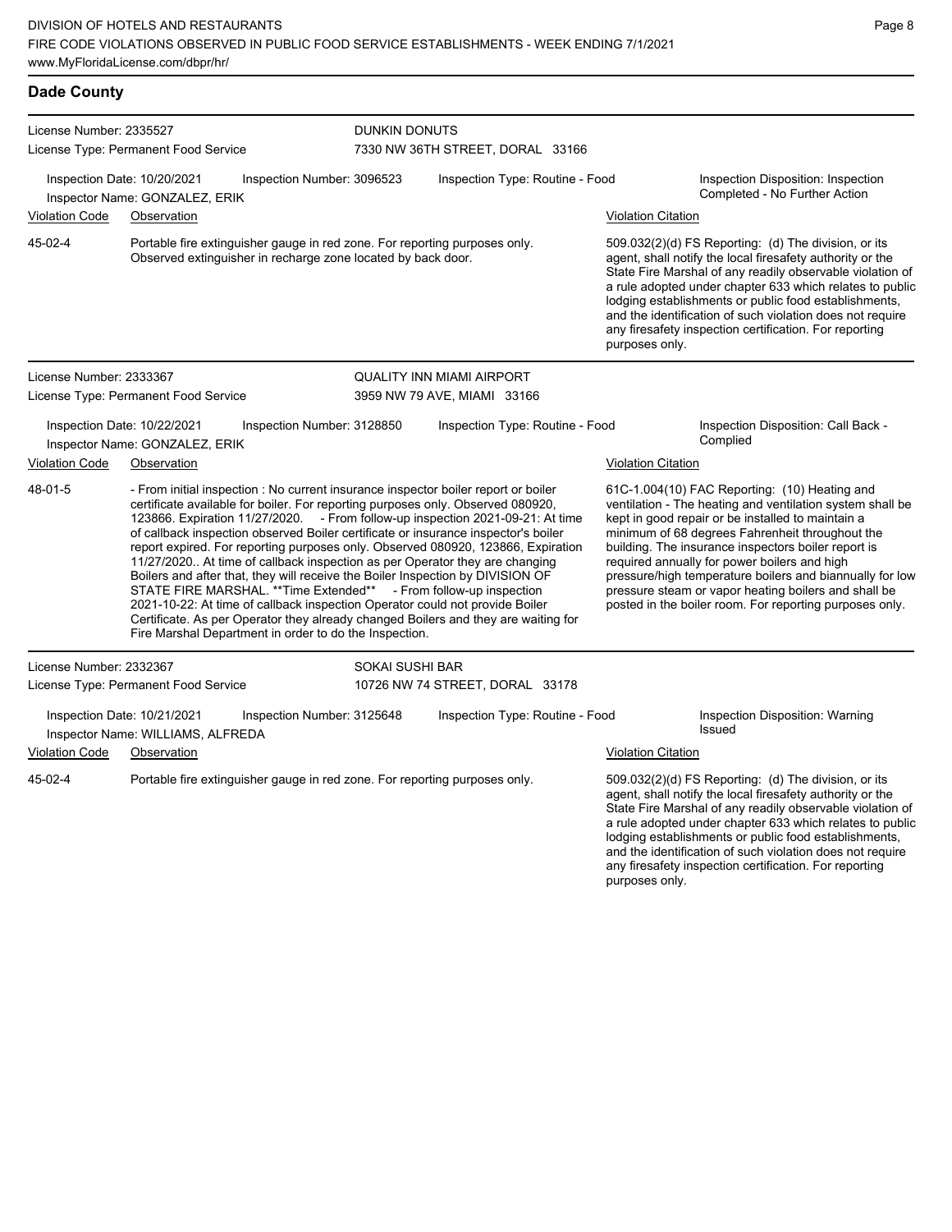| <b>Dade County</b>      |                                                                                                                                                                                                                                                                                                                                                                                                                                                                                                                                                                                                                                                                                                                                                                                                                                                                                                          |                            |                                  |                           |                                                                                                                                                                                                                                                                                                                                                                                                                                                                                                          |  |  |
|-------------------------|----------------------------------------------------------------------------------------------------------------------------------------------------------------------------------------------------------------------------------------------------------------------------------------------------------------------------------------------------------------------------------------------------------------------------------------------------------------------------------------------------------------------------------------------------------------------------------------------------------------------------------------------------------------------------------------------------------------------------------------------------------------------------------------------------------------------------------------------------------------------------------------------------------|----------------------------|----------------------------------|---------------------------|----------------------------------------------------------------------------------------------------------------------------------------------------------------------------------------------------------------------------------------------------------------------------------------------------------------------------------------------------------------------------------------------------------------------------------------------------------------------------------------------------------|--|--|
| License Number: 2335527 |                                                                                                                                                                                                                                                                                                                                                                                                                                                                                                                                                                                                                                                                                                                                                                                                                                                                                                          |                            | <b>DUNKIN DONUTS</b>             |                           |                                                                                                                                                                                                                                                                                                                                                                                                                                                                                                          |  |  |
|                         | License Type: Permanent Food Service                                                                                                                                                                                                                                                                                                                                                                                                                                                                                                                                                                                                                                                                                                                                                                                                                                                                     |                            | 7330 NW 36TH STREET, DORAL 33166 |                           |                                                                                                                                                                                                                                                                                                                                                                                                                                                                                                          |  |  |
|                         | Inspection Date: 10/20/2021<br>Inspector Name: GONZALEZ, ERIK                                                                                                                                                                                                                                                                                                                                                                                                                                                                                                                                                                                                                                                                                                                                                                                                                                            | Inspection Number: 3096523 | Inspection Type: Routine - Food  |                           | Inspection Disposition: Inspection<br>Completed - No Further Action                                                                                                                                                                                                                                                                                                                                                                                                                                      |  |  |
| <b>Violation Code</b>   | Observation                                                                                                                                                                                                                                                                                                                                                                                                                                                                                                                                                                                                                                                                                                                                                                                                                                                                                              |                            |                                  | <b>Violation Citation</b> |                                                                                                                                                                                                                                                                                                                                                                                                                                                                                                          |  |  |
| 45-02-4                 | Portable fire extinguisher gauge in red zone. For reporting purposes only.<br>Observed extinguisher in recharge zone located by back door.                                                                                                                                                                                                                                                                                                                                                                                                                                                                                                                                                                                                                                                                                                                                                               |                            |                                  |                           | 509.032(2)(d) FS Reporting: (d) The division, or its<br>agent, shall notify the local firesafety authority or the<br>State Fire Marshal of any readily observable violation of<br>a rule adopted under chapter 633 which relates to public<br>lodging establishments or public food establishments,<br>and the identification of such violation does not require<br>any firesafety inspection certification. For reporting<br>purposes only.                                                             |  |  |
| License Number: 2333367 |                                                                                                                                                                                                                                                                                                                                                                                                                                                                                                                                                                                                                                                                                                                                                                                                                                                                                                          |                            | QUALITY INN MIAMI AIRPORT        |                           |                                                                                                                                                                                                                                                                                                                                                                                                                                                                                                          |  |  |
|                         | License Type: Permanent Food Service                                                                                                                                                                                                                                                                                                                                                                                                                                                                                                                                                                                                                                                                                                                                                                                                                                                                     |                            | 3959 NW 79 AVE, MIAMI 33166      |                           |                                                                                                                                                                                                                                                                                                                                                                                                                                                                                                          |  |  |
|                         | Inspection Date: 10/22/2021<br>Inspector Name: GONZALEZ, ERIK                                                                                                                                                                                                                                                                                                                                                                                                                                                                                                                                                                                                                                                                                                                                                                                                                                            | Inspection Number: 3128850 | Inspection Type: Routine - Food  |                           | Inspection Disposition: Call Back -<br>Complied                                                                                                                                                                                                                                                                                                                                                                                                                                                          |  |  |
| Violation Code          | Observation                                                                                                                                                                                                                                                                                                                                                                                                                                                                                                                                                                                                                                                                                                                                                                                                                                                                                              |                            |                                  | <b>Violation Citation</b> |                                                                                                                                                                                                                                                                                                                                                                                                                                                                                                          |  |  |
| 48-01-5                 | - From initial inspection : No current insurance inspector boiler report or boiler<br>certificate available for boiler. For reporting purposes only. Observed 080920,<br>123866. Expiration 11/27/2020. - From follow-up inspection 2021-09-21: At time<br>of callback inspection observed Boiler certificate or insurance inspector's boiler<br>report expired. For reporting purposes only. Observed 080920, 123866, Expiration<br>11/27/2020 At time of callback inspection as per Operator they are changing<br>Boilers and after that, they will receive the Boiler Inspection by DIVISION OF<br>STATE FIRE MARSHAL. ** Time Extended** - From follow-up inspection<br>2021-10-22: At time of callback inspection Operator could not provide Boiler<br>Certificate. As per Operator they already changed Boilers and they are waiting for<br>Fire Marshal Department in order to do the Inspection. |                            |                                  |                           | 61C-1.004(10) FAC Reporting: (10) Heating and<br>ventilation - The heating and ventilation system shall be<br>kept in good repair or be installed to maintain a<br>minimum of 68 degrees Fahrenheit throughout the<br>building. The insurance inspectors boiler report is<br>required annually for power boilers and high<br>pressure/high temperature boilers and biannually for low<br>pressure steam or vapor heating boilers and shall be<br>posted in the boiler room. For reporting purposes only. |  |  |
| License Number: 2332367 |                                                                                                                                                                                                                                                                                                                                                                                                                                                                                                                                                                                                                                                                                                                                                                                                                                                                                                          | <b>SOKAI SUSHI BAR</b>     |                                  |                           |                                                                                                                                                                                                                                                                                                                                                                                                                                                                                                          |  |  |
|                         | License Type: Permanent Food Service                                                                                                                                                                                                                                                                                                                                                                                                                                                                                                                                                                                                                                                                                                                                                                                                                                                                     |                            | 10726 NW 74 STREET, DORAL 33178  |                           |                                                                                                                                                                                                                                                                                                                                                                                                                                                                                                          |  |  |
|                         | Inspection Date: 10/21/2021<br>Inspector Name: WILLIAMS, ALFREDA                                                                                                                                                                                                                                                                                                                                                                                                                                                                                                                                                                                                                                                                                                                                                                                                                                         | Inspection Number: 3125648 | Inspection Type: Routine - Food  |                           | Inspection Disposition: Warning<br><b>Issued</b>                                                                                                                                                                                                                                                                                                                                                                                                                                                         |  |  |
| Violation Code          | Observation                                                                                                                                                                                                                                                                                                                                                                                                                                                                                                                                                                                                                                                                                                                                                                                                                                                                                              |                            |                                  | Violation Citation        |                                                                                                                                                                                                                                                                                                                                                                                                                                                                                                          |  |  |
| 45-02-4                 | Portable fire extinguisher gauge in red zone. For reporting purposes only.                                                                                                                                                                                                                                                                                                                                                                                                                                                                                                                                                                                                                                                                                                                                                                                                                               |                            |                                  |                           | 509.032(2)(d) FS Reporting: (d) The division, or its                                                                                                                                                                                                                                                                                                                                                                                                                                                     |  |  |

agent, shall notify the local firesafety authority or the State Fire Marshal of any readily observable violation of a rule adopted under chapter 633 which relates to public lodging establishments or public food establishments, and the identification of such violation does not require any firesafety inspection certification. For reporting purposes only.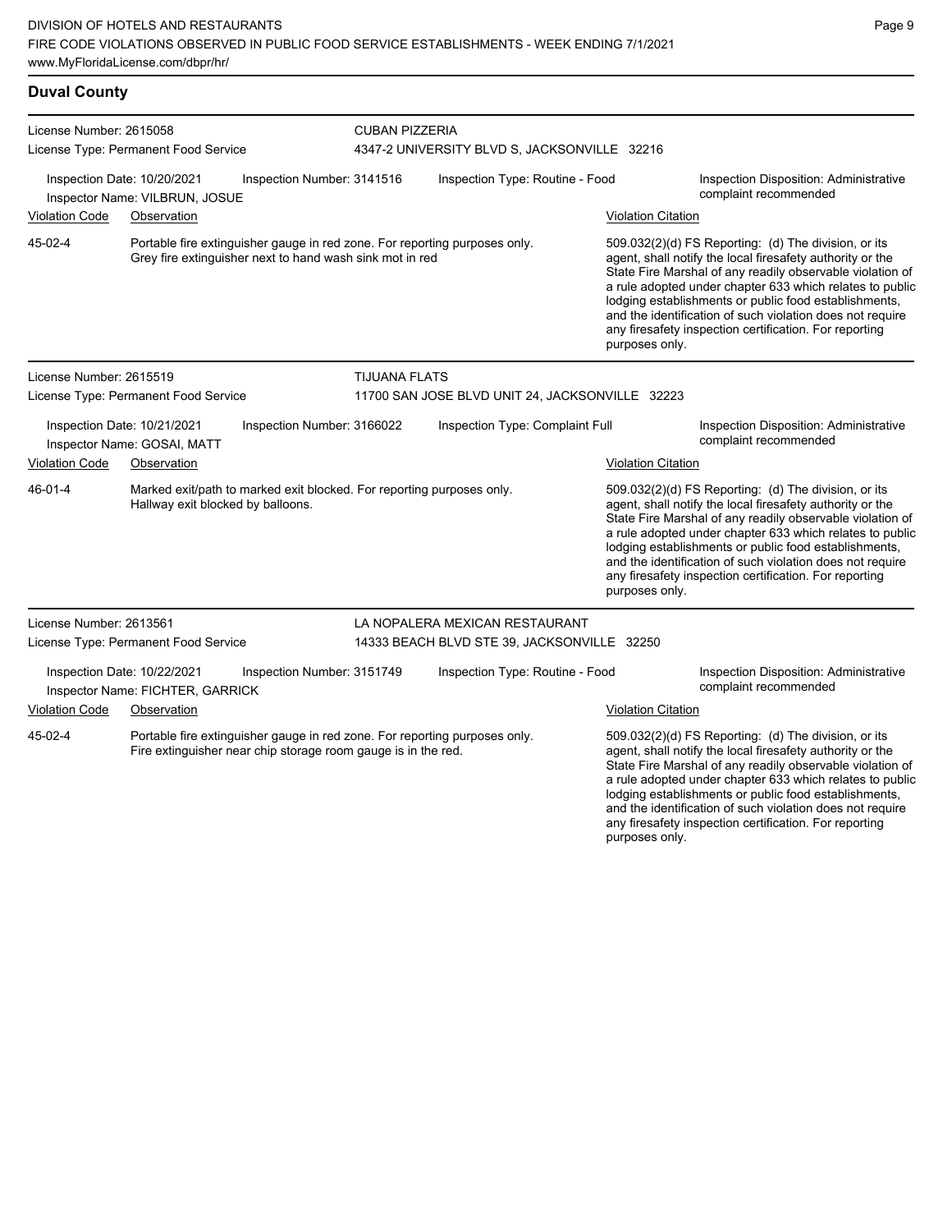**Duval County** License Number: 2615058 License Type: Permanent Food Service CUBAN PIZZERIA 4347-2 UNIVERSITY BLVD S, JACKSONVILLE 32216 Inspection Date: 10/20/2021 Inspection Number: 3141516 Inspection Type: Routine - Food Inspection Disposition: Administrative complaint recommended Inspector Name: VILBRUN, JOSUE Violation Code Observation Violation Citation Portable fire extinguisher gauge in red zone. For reporting purposes only. Grey fire extinguisher next to hand wash sink mot in red 509.032(2)(d) FS Reporting: (d) The division, or its agent, shall notify the local firesafety authority or the State Fire Marshal of any readily observable violation of a rule adopted under chapter 633 which relates to public lodging establishments or public food establishments, and the identification of such violation does not require any firesafety inspection certification. For reporting purposes only. 45-02-4 License Number: 2615519 License Type: Permanent Food Service TIJUANA FLATS 11700 SAN JOSE BLVD UNIT 24, JACKSONVILLE 32223 Inspection Date: 10/21/2021 Inspection Number: 3166022 Inspection Type: Complaint Full Inspection Disposition: Administrative Inspector Name: GOSAI, MATT Violation Code Observation **Violation Citation** Violation Citation Citation Marked exit/path to marked exit blocked. For reporting purposes only. Hallway exit blocked by balloons. 509.032(2)(d) FS Reporting: (d) The division, or its agent, shall notify the local firesafety authority or the State Fire Marshal of any readily observable violation of a rule adopted under chapter 633 which relates to public lodging establishments or public food establishments, and the identification of such violation does not require any firesafety inspection certification. For reporting purposes only. 46-01-4 License Number: 2613561 License Type: Permanent Food Service LA NOPALERA MEXICAN RESTAURANT 14333 BEACH BLVD STE 39, JACKSONVILLE 32250 Inspection Date: 10/22/2021 Inspection Number: 3151749 Inspection Type: Routine - Food Inspection Disposition: Administrative<br>Inspector Name: FICHTER CARRICK Inspector Name: FICHTER, GARRICK Violation Code Observation Violation Citation Portable fire extinguisher gauge in red zone. For reporting purposes only. Fire extinguisher near chip storage room gauge is in the red. 509.032(2)(d) FS Reporting: (d) The division, or its agent, shall notify the local firesafety authority or the State Fire Marshal of any readily observable violation of a rule adopted under chapter 633 which relates to public lodging establishments or public food establishments, 45-02-4

and the identification of such violation does not require any firesafety inspection certification. For reporting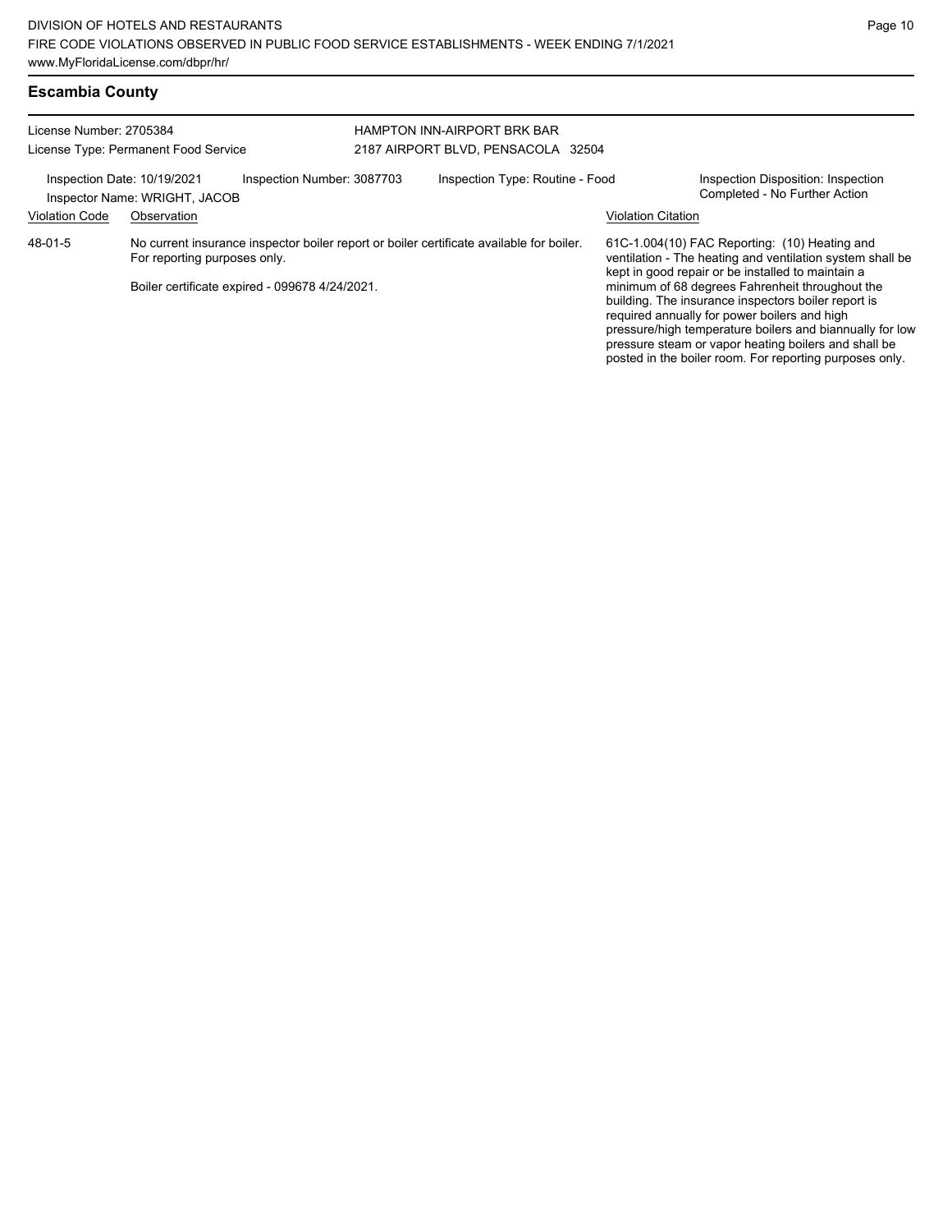| <b>Escambia County</b> |  |
|------------------------|--|
|------------------------|--|

| License Number: 2705384<br>License Type: Permanent Food Service                            |                                                                                                                                                                            |  | <b>HAMPTON INN-AIRPORT BRK BAR</b><br>2187 AIRPORT BLVD, PENSACOLA 32504 |  |                                                                                                                                                                                                                                                                                    |  |
|--------------------------------------------------------------------------------------------|----------------------------------------------------------------------------------------------------------------------------------------------------------------------------|--|--------------------------------------------------------------------------|--|------------------------------------------------------------------------------------------------------------------------------------------------------------------------------------------------------------------------------------------------------------------------------------|--|
| Inspection Number: 3087703<br>Inspection Date: 10/19/2021<br>Inspector Name: WRIGHT, JACOB |                                                                                                                                                                            |  | Inspection Type: Routine - Food                                          |  | Inspection Disposition: Inspection<br>Completed - No Further Action                                                                                                                                                                                                                |  |
| <b>Violation Code</b>                                                                      | Observation                                                                                                                                                                |  |                                                                          |  | <b>Violation Citation</b>                                                                                                                                                                                                                                                          |  |
| 48-01-5                                                                                    | No current insurance inspector boiler report or boiler certificate available for boiler.<br>For reporting purposes only.<br>Boiler certificate expired - 099678 4/24/2021. |  |                                                                          |  | 61C-1.004(10) FAC Reporting: (10) Heating and<br>ventilation - The heating and ventilation system shall be<br>kept in good repair or be installed to maintain a<br>minimum of 68 degrees Fahrenheit throughout the                                                                 |  |
|                                                                                            |                                                                                                                                                                            |  |                                                                          |  | building. The insurance inspectors boiler report is<br>required annually for power boilers and high<br>pressure/high temperature boilers and biannually for low<br>pressure steam or vapor heating boilers and shall be<br>posted in the boiler room. For reporting purposes only. |  |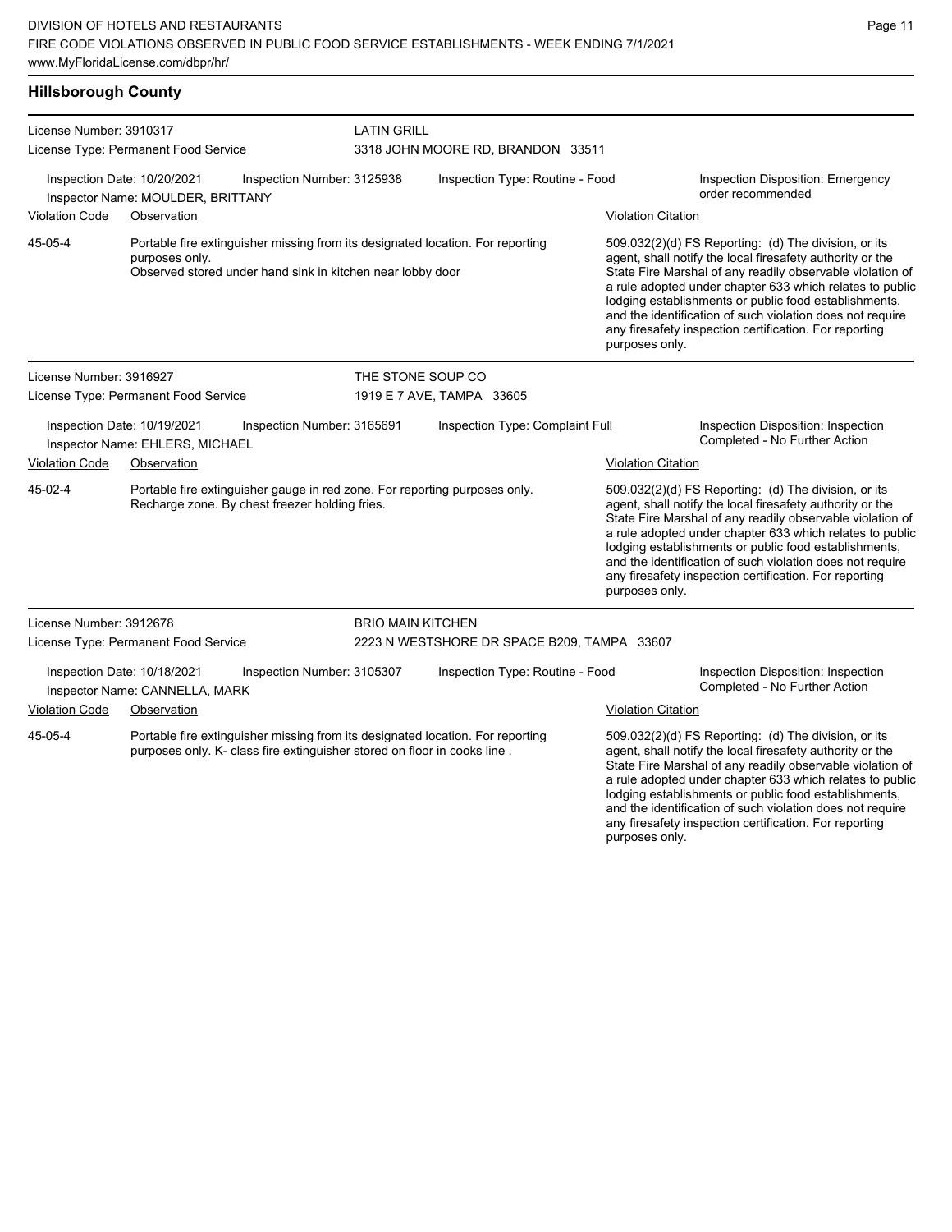| <b>Hillsborough County</b> |  |
|----------------------------|--|
|                            |  |

| License Number: 3910317 |                                                                                                                                                                | <b>LATIN GRILL</b>         |                                                                                                                                                                                                                                                                                                                                                                                                                                              |                           |                                                                                                                                                                                                                                                                                                                                                                                                                                              |  |  |
|-------------------------|----------------------------------------------------------------------------------------------------------------------------------------------------------------|----------------------------|----------------------------------------------------------------------------------------------------------------------------------------------------------------------------------------------------------------------------------------------------------------------------------------------------------------------------------------------------------------------------------------------------------------------------------------------|---------------------------|----------------------------------------------------------------------------------------------------------------------------------------------------------------------------------------------------------------------------------------------------------------------------------------------------------------------------------------------------------------------------------------------------------------------------------------------|--|--|
|                         | License Type: Permanent Food Service                                                                                                                           |                            | 3318 JOHN MOORE RD, BRANDON 33511                                                                                                                                                                                                                                                                                                                                                                                                            |                           |                                                                                                                                                                                                                                                                                                                                                                                                                                              |  |  |
|                         | Inspection Date: 10/20/2021<br>Inspector Name: MOULDER, BRITTANY                                                                                               | Inspection Number: 3125938 | Inspection Type: Routine - Food                                                                                                                                                                                                                                                                                                                                                                                                              |                           | Inspection Disposition: Emergency<br>order recommended                                                                                                                                                                                                                                                                                                                                                                                       |  |  |
| <b>Violation Code</b>   | Observation                                                                                                                                                    |                            |                                                                                                                                                                                                                                                                                                                                                                                                                                              | <b>Violation Citation</b> |                                                                                                                                                                                                                                                                                                                                                                                                                                              |  |  |
| 45-05-4                 | Portable fire extinguisher missing from its designated location. For reporting<br>purposes only.<br>Observed stored under hand sink in kitchen near lobby door |                            |                                                                                                                                                                                                                                                                                                                                                                                                                                              |                           | 509.032(2)(d) FS Reporting: (d) The division, or its<br>agent, shall notify the local firesafety authority or the<br>State Fire Marshal of any readily observable violation of<br>a rule adopted under chapter 633 which relates to public<br>lodging establishments or public food establishments,<br>and the identification of such violation does not require<br>any firesafety inspection certification. For reporting<br>purposes only. |  |  |
| License Number: 3916927 |                                                                                                                                                                |                            | THE STONE SOUP CO                                                                                                                                                                                                                                                                                                                                                                                                                            |                           |                                                                                                                                                                                                                                                                                                                                                                                                                                              |  |  |
|                         | License Type: Permanent Food Service                                                                                                                           |                            | 1919 E 7 AVE, TAMPA 33605                                                                                                                                                                                                                                                                                                                                                                                                                    |                           |                                                                                                                                                                                                                                                                                                                                                                                                                                              |  |  |
|                         | Inspection Date: 10/19/2021<br>Inspector Name: EHLERS, MICHAEL                                                                                                 | Inspection Number: 3165691 | Inspection Type: Complaint Full                                                                                                                                                                                                                                                                                                                                                                                                              |                           | Inspection Disposition: Inspection<br>Completed - No Further Action                                                                                                                                                                                                                                                                                                                                                                          |  |  |
| <b>Violation Code</b>   | Observation                                                                                                                                                    |                            |                                                                                                                                                                                                                                                                                                                                                                                                                                              | <b>Violation Citation</b> |                                                                                                                                                                                                                                                                                                                                                                                                                                              |  |  |
| 45-02-4                 | Portable fire extinguisher gauge in red zone. For reporting purposes only.<br>Recharge zone. By chest freezer holding fries.                                   |                            | 509.032(2)(d) FS Reporting: (d) The division, or its<br>agent, shall notify the local firesafety authority or the<br>State Fire Marshal of any readily observable violation of<br>a rule adopted under chapter 633 which relates to public<br>lodging establishments or public food establishments,<br>and the identification of such violation does not require<br>any firesafety inspection certification. For reporting<br>purposes only. |                           |                                                                                                                                                                                                                                                                                                                                                                                                                                              |  |  |
| License Number: 3912678 |                                                                                                                                                                | <b>BRIO MAIN KITCHEN</b>   |                                                                                                                                                                                                                                                                                                                                                                                                                                              |                           |                                                                                                                                                                                                                                                                                                                                                                                                                                              |  |  |
|                         | License Type: Permanent Food Service                                                                                                                           |                            | 2223 N WESTSHORE DR SPACE B209, TAMPA 33607                                                                                                                                                                                                                                                                                                                                                                                                  |                           |                                                                                                                                                                                                                                                                                                                                                                                                                                              |  |  |
|                         | Inspection Date: 10/18/2021<br>Inspector Name: CANNELLA, MARK                                                                                                  | Inspection Number: 3105307 | Inspection Type: Routine - Food                                                                                                                                                                                                                                                                                                                                                                                                              |                           | Inspection Disposition: Inspection<br>Completed - No Further Action                                                                                                                                                                                                                                                                                                                                                                          |  |  |
| <b>Violation Code</b>   | Observation                                                                                                                                                    |                            |                                                                                                                                                                                                                                                                                                                                                                                                                                              | <b>Violation Citation</b> |                                                                                                                                                                                                                                                                                                                                                                                                                                              |  |  |
| 45-05-4                 | Portable fire extinguisher missing from its designated location. For reporting<br>purposes only. K- class fire extinguisher stored on floor in cooks line.     |                            |                                                                                                                                                                                                                                                                                                                                                                                                                                              |                           | 509.032(2)(d) FS Reporting: (d) The division, or its<br>agent, shall notify the local firesafety authority or the<br>State Fire Marshal of any readily observable violation of<br>a rule adopted under chapter 633 which relates to public<br>lodging establishments or public food establishments,<br>and the identification of such violation does not require<br>any firesafety inspection certification. For reporting                   |  |  |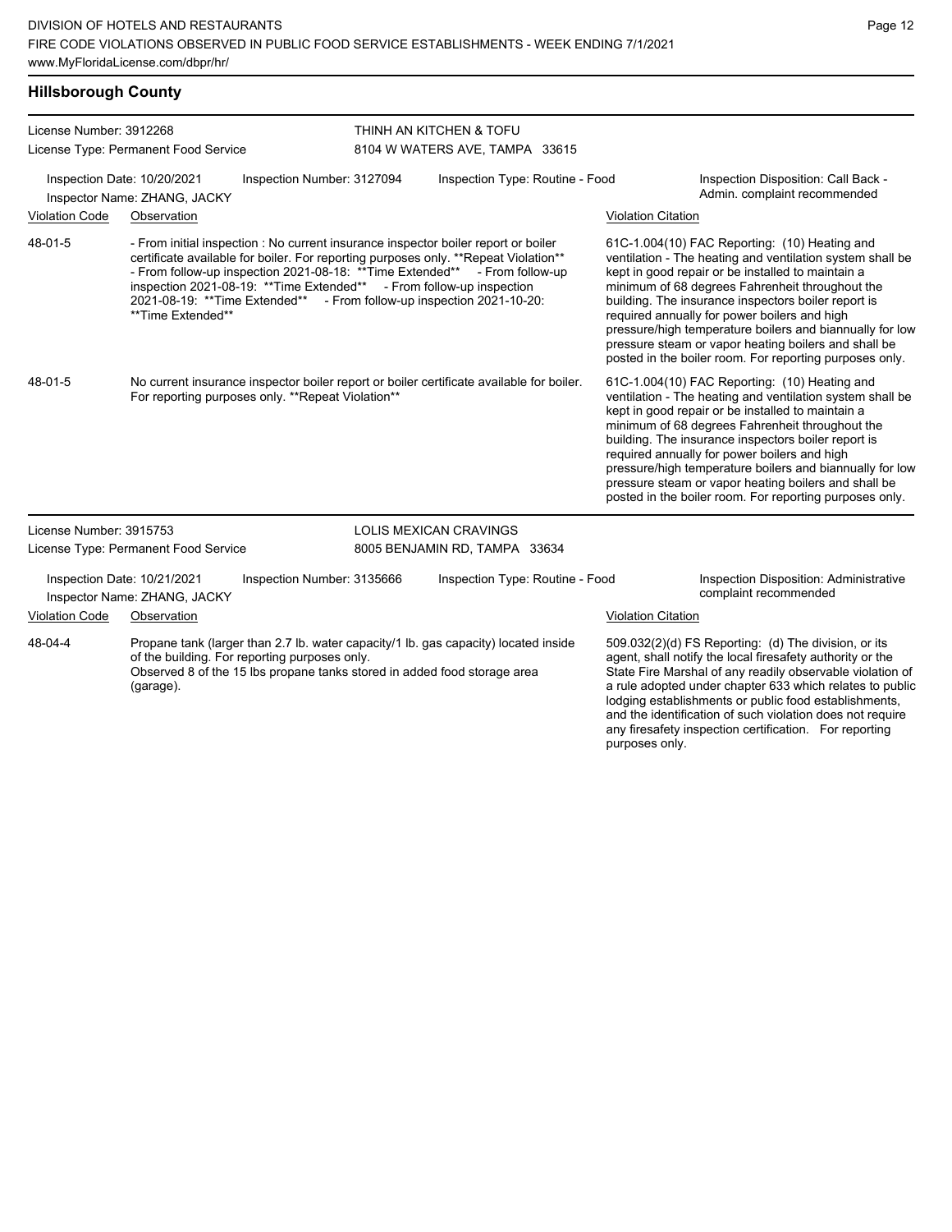**Hillsborough County**

| License Number: 3912268 | License Type: Permanent Food Service                        |                                                                                                                                                                                                                                                                                                                                                                                                              | THINH AN KITCHEN & TOFU<br>8104 W WATERS AVE, TAMPA 33615 |                           |                                                                                                                                                                                                                                                                                                                                                                                                                                                                                                          |  |  |  |
|-------------------------|-------------------------------------------------------------|--------------------------------------------------------------------------------------------------------------------------------------------------------------------------------------------------------------------------------------------------------------------------------------------------------------------------------------------------------------------------------------------------------------|-----------------------------------------------------------|---------------------------|----------------------------------------------------------------------------------------------------------------------------------------------------------------------------------------------------------------------------------------------------------------------------------------------------------------------------------------------------------------------------------------------------------------------------------------------------------------------------------------------------------|--|--|--|
|                         |                                                             |                                                                                                                                                                                                                                                                                                                                                                                                              |                                                           |                           |                                                                                                                                                                                                                                                                                                                                                                                                                                                                                                          |  |  |  |
|                         | Inspection Date: 10/20/2021<br>Inspector Name: ZHANG, JACKY | Inspection Number: 3127094                                                                                                                                                                                                                                                                                                                                                                                   | Inspection Type: Routine - Food                           |                           | Inspection Disposition: Call Back -<br>Admin. complaint recommended                                                                                                                                                                                                                                                                                                                                                                                                                                      |  |  |  |
| <b>Violation Code</b>   | Observation                                                 |                                                                                                                                                                                                                                                                                                                                                                                                              |                                                           | <b>Violation Citation</b> |                                                                                                                                                                                                                                                                                                                                                                                                                                                                                                          |  |  |  |
| 48-01-5                 | **Time Extended**                                           | - From initial inspection : No current insurance inspector boiler report or boiler<br>certificate available for boiler. For reporting purposes only. ** Repeat Violation**<br>- From follow-up inspection 2021-08-18: ** Time Extended** - From follow-up<br>inspection 2021-08-19: ** Time Extended** - From follow-up inspection<br>2021-08-19: ** Time Extended** - From follow-up inspection 2021-10-20: |                                                           |                           | 61C-1.004(10) FAC Reporting: (10) Heating and<br>ventilation - The heating and ventilation system shall be<br>kept in good repair or be installed to maintain a<br>minimum of 68 degrees Fahrenheit throughout the<br>building. The insurance inspectors boiler report is<br>required annually for power boilers and high<br>pressure/high temperature boilers and biannually for low<br>pressure steam or vapor heating boilers and shall be<br>posted in the boiler room. For reporting purposes only. |  |  |  |
| 48-01-5                 |                                                             | No current insurance inspector boiler report or boiler certificate available for boiler.<br>For reporting purposes only. **Repeat Violation**                                                                                                                                                                                                                                                                |                                                           |                           | 61C-1.004(10) FAC Reporting: (10) Heating and<br>ventilation - The heating and ventilation system shall be<br>kept in good repair or be installed to maintain a<br>minimum of 68 degrees Fahrenheit throughout the<br>building. The insurance inspectors boiler report is<br>required annually for power boilers and high<br>pressure/high temperature boilers and biannually for low<br>pressure steam or vapor heating boilers and shall be<br>posted in the boiler room. For reporting purposes only. |  |  |  |
| License Number: 3915753 |                                                             |                                                                                                                                                                                                                                                                                                                                                                                                              | LOLIS MEXICAN CRAVINGS                                    |                           |                                                                                                                                                                                                                                                                                                                                                                                                                                                                                                          |  |  |  |
|                         | License Type: Permanent Food Service                        |                                                                                                                                                                                                                                                                                                                                                                                                              | 8005 BENJAMIN RD, TAMPA 33634                             |                           |                                                                                                                                                                                                                                                                                                                                                                                                                                                                                                          |  |  |  |
|                         | Inspection Date: 10/21/2021<br>Inspector Name: ZHANG, JACKY | Inspection Number: 3135666                                                                                                                                                                                                                                                                                                                                                                                   | Inspection Type: Routine - Food                           |                           | Inspection Disposition: Administrative<br>complaint recommended                                                                                                                                                                                                                                                                                                                                                                                                                                          |  |  |  |
| <b>Violation Code</b>   | Observation                                                 |                                                                                                                                                                                                                                                                                                                                                                                                              |                                                           | <b>Violation Citation</b> |                                                                                                                                                                                                                                                                                                                                                                                                                                                                                                          |  |  |  |
| 48-04-4                 | of the building. For reporting purposes only.<br>(garage).  | Propane tank (larger than 2.7 lb. water capacity/1 lb. gas capacity) located inside<br>Observed 8 of the 15 lbs propane tanks stored in added food storage area                                                                                                                                                                                                                                              |                                                           |                           | 509.032(2)(d) FS Reporting: (d) The division, or its<br>agent, shall notify the local firesafety authority or the<br>State Fire Marshal of any readily observable violation of<br>a rule adopted under chapter 633 which relates to public<br>lodging establishments or public food establishments,<br>and the identification of such violation does not require<br>any firesafety inspection certification. For reporting                                                                               |  |  |  |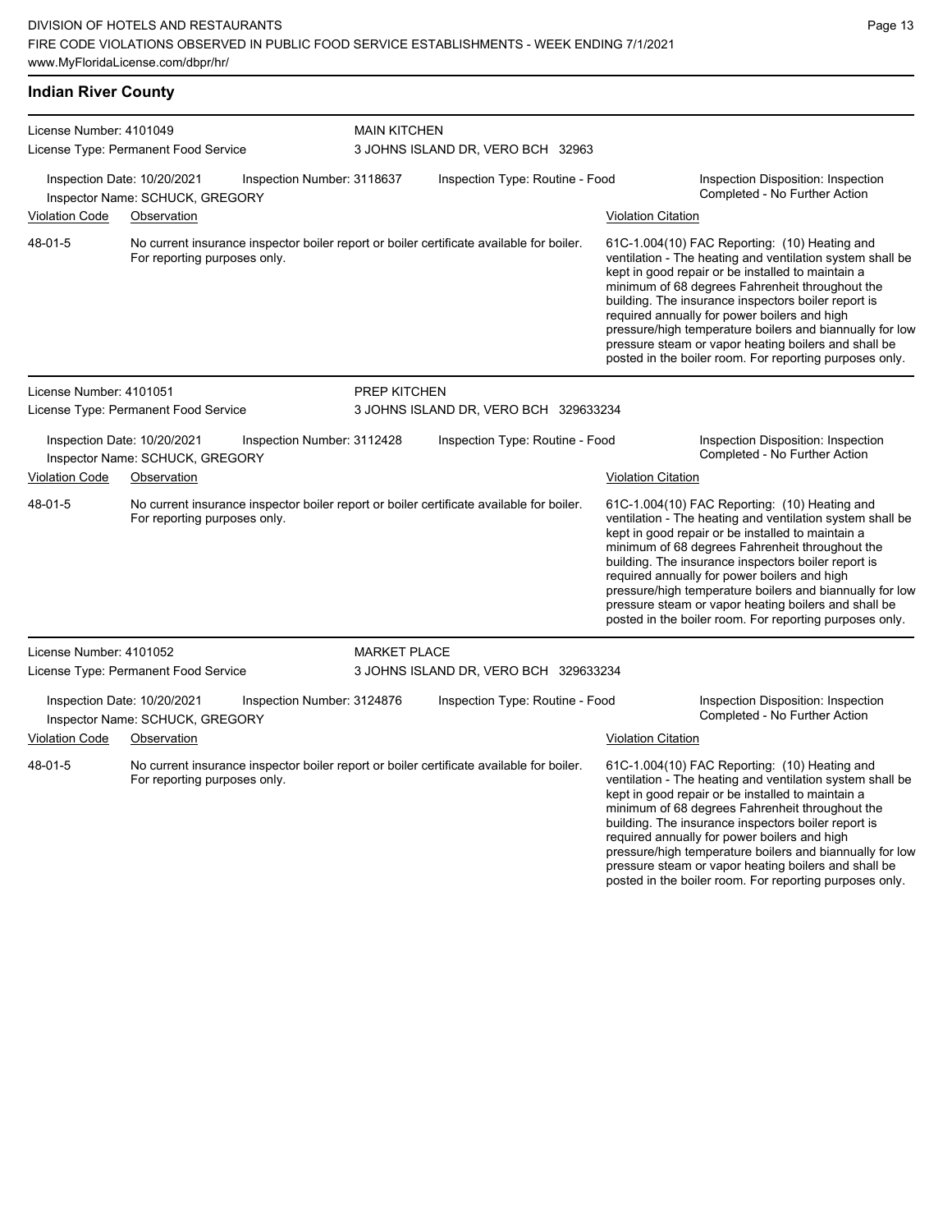**Indian River County**

posted in the boiler room. For reporting purposes only.

| License Number: 4101049<br>License Type: Permanent Food Service |                                                                               | <b>MAIN KITCHEN</b><br>3 JOHNS ISLAND DR, VERO BCH 32963 |                                 |                                                                                          |                                                                     |                                                                                                                                                                                                                                                                                                                                                                                                                                                                                                          |
|-----------------------------------------------------------------|-------------------------------------------------------------------------------|----------------------------------------------------------|---------------------------------|------------------------------------------------------------------------------------------|---------------------------------------------------------------------|----------------------------------------------------------------------------------------------------------------------------------------------------------------------------------------------------------------------------------------------------------------------------------------------------------------------------------------------------------------------------------------------------------------------------------------------------------------------------------------------------------|
|                                                                 | Inspection Date: 10/20/2021<br>Inspector Name: SCHUCK, GREGORY                | Inspection Number: 3118637                               | Inspection Type: Routine - Food |                                                                                          | Inspection Disposition: Inspection<br>Completed - No Further Action |                                                                                                                                                                                                                                                                                                                                                                                                                                                                                                          |
| <b>Violation Code</b><br>48-01-5                                | Observation<br>For reporting purposes only.                                   |                                                          |                                 | No current insurance inspector boiler report or boiler certificate available for boiler. | <b>Violation Citation</b>                                           | 61C-1.004(10) FAC Reporting: (10) Heating and<br>ventilation - The heating and ventilation system shall be<br>kept in good repair or be installed to maintain a<br>minimum of 68 degrees Fahrenheit throughout the<br>building. The insurance inspectors boiler report is<br>required annually for power boilers and high<br>pressure/high temperature boilers and biannually for low<br>pressure steam or vapor heating boilers and shall be<br>posted in the boiler room. For reporting purposes only. |
| License Number: 4101051                                         | License Type: Permanent Food Service                                          |                                                          | PREP KITCHEN                    | 3 JOHNS ISLAND DR, VERO BCH 329633234                                                    |                                                                     |                                                                                                                                                                                                                                                                                                                                                                                                                                                                                                          |
|                                                                 | Inspection Date: 10/20/2021<br>Inspector Name: SCHUCK, GREGORY                | Inspection Number: 3112428                               |                                 | Inspection Type: Routine - Food                                                          |                                                                     | Inspection Disposition: Inspection<br>Completed - No Further Action                                                                                                                                                                                                                                                                                                                                                                                                                                      |
| <b>Violation Code</b>                                           | Observation                                                                   |                                                          |                                 |                                                                                          | <b>Violation Citation</b>                                           |                                                                                                                                                                                                                                                                                                                                                                                                                                                                                                          |
| 48-01-5                                                         | For reporting purposes only.                                                  |                                                          |                                 | No current insurance inspector boiler report or boiler certificate available for boiler. |                                                                     | 61C-1.004(10) FAC Reporting: (10) Heating and<br>ventilation - The heating and ventilation system shall be<br>kept in good repair or be installed to maintain a<br>minimum of 68 degrees Fahrenheit throughout the<br>building. The insurance inspectors boiler report is<br>required annually for power boilers and high<br>pressure/high temperature boilers and biannually for low<br>pressure steam or vapor heating boilers and shall be<br>posted in the boiler room. For reporting purposes only. |
| License Number: 4101052                                         |                                                                               |                                                          | <b>MARKET PLACE</b>             |                                                                                          |                                                                     |                                                                                                                                                                                                                                                                                                                                                                                                                                                                                                          |
|                                                                 | License Type: Permanent Food Service                                          |                                                          |                                 | 3 JOHNS ISLAND DR, VERO BCH 329633234                                                    |                                                                     |                                                                                                                                                                                                                                                                                                                                                                                                                                                                                                          |
| <b>Violation Code</b>                                           | Inspection Date: 10/20/2021<br>Inspector Name: SCHUCK, GREGORY<br>Observation | Inspection Number: 3124876                               |                                 | Inspection Type: Routine - Food                                                          | <b>Violation Citation</b>                                           | Inspection Disposition: Inspection<br>Completed - No Further Action                                                                                                                                                                                                                                                                                                                                                                                                                                      |
| 48-01-5                                                         | For reporting purposes only.                                                  |                                                          |                                 | No current insurance inspector boiler report or boiler certificate available for boiler. |                                                                     | 61C-1.004(10) FAC Reporting: (10) Heating and<br>ventilation - The heating and ventilation system shall be<br>kept in good repair or be installed to maintain a<br>minimum of 68 degrees Fahrenheit throughout the<br>building. The insurance inspectors boiler report is<br>required annually for power boilers and high<br>pressure/high temperature boilers and biannually for low<br>pressure steam or vapor heating boilers and shall be                                                            |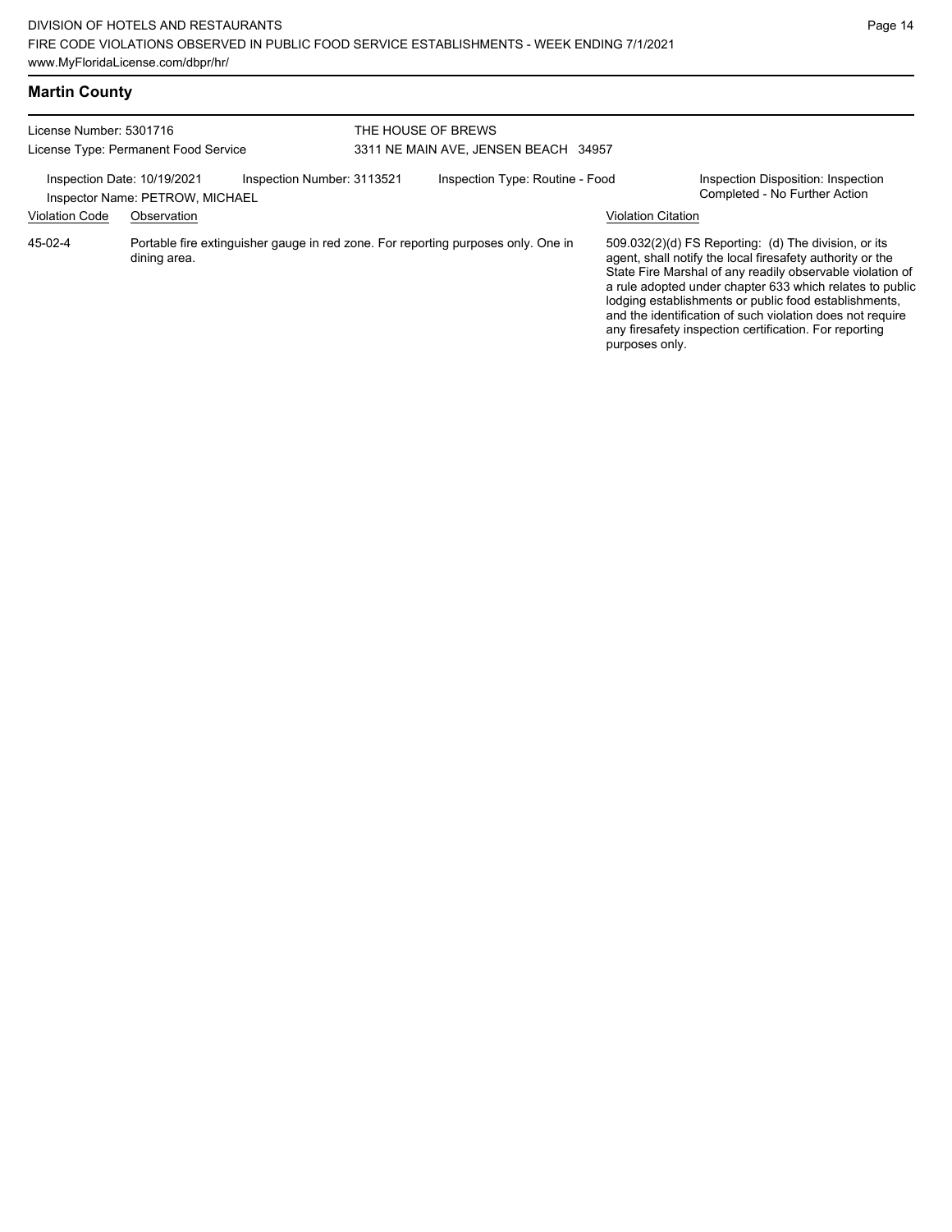|  | <b>Martin County</b> |
|--|----------------------|
|--|----------------------|

| License Number: 5301716<br>License Type: Permanent Food Service |                                                                               |                            | THE HOUSE OF BREWS<br>3311 NE MAIN AVE, JENSEN BEACH 34957 |                                                                                   |                           |                                                                                                                                                                                                                                                                                                                                                                                                                            |
|-----------------------------------------------------------------|-------------------------------------------------------------------------------|----------------------------|------------------------------------------------------------|-----------------------------------------------------------------------------------|---------------------------|----------------------------------------------------------------------------------------------------------------------------------------------------------------------------------------------------------------------------------------------------------------------------------------------------------------------------------------------------------------------------------------------------------------------------|
| <b>Violation Code</b>                                           | Inspection Date: 10/19/2021<br>Inspector Name: PETROW, MICHAEL<br>Observation | Inspection Number: 3113521 |                                                            | Inspection Type: Routine - Food                                                   | <b>Violation Citation</b> | Inspection Disposition: Inspection<br>Completed - No Further Action                                                                                                                                                                                                                                                                                                                                                        |
| 45-02-4                                                         | dining area.                                                                  |                            |                                                            | Portable fire extinguisher gauge in red zone. For reporting purposes only. One in | purposes only.            | 509.032(2)(d) FS Reporting: (d) The division, or its<br>agent, shall notify the local firesafety authority or the<br>State Fire Marshal of any readily observable violation of<br>a rule adopted under chapter 633 which relates to public<br>lodging establishments or public food establishments,<br>and the identification of such violation does not require<br>any firesafety inspection certification. For reporting |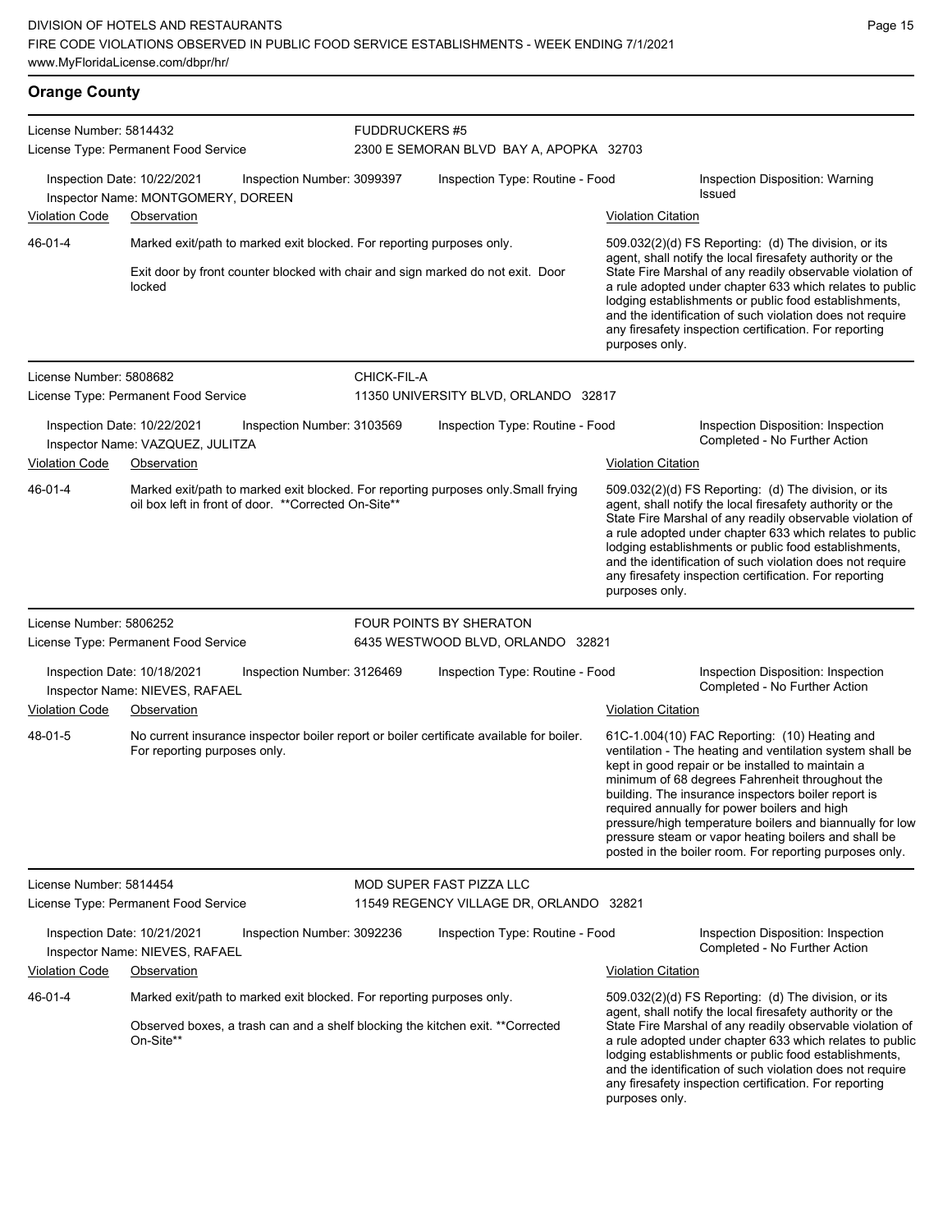## **Orange County**

| License Number: 5814432 |                                                                   | <b>FUDDRUCKERS #5</b>                                                 |                                 |                                                                                          |                           |                                                                                                                                                                                                                                                                                                                                                                                                                                                                                                          |
|-------------------------|-------------------------------------------------------------------|-----------------------------------------------------------------------|---------------------------------|------------------------------------------------------------------------------------------|---------------------------|----------------------------------------------------------------------------------------------------------------------------------------------------------------------------------------------------------------------------------------------------------------------------------------------------------------------------------------------------------------------------------------------------------------------------------------------------------------------------------------------------------|
|                         | License Type: Permanent Food Service                              |                                                                       |                                 | 2300 E SEMORAN BLVD BAY A, APOPKA 32703                                                  |                           |                                                                                                                                                                                                                                                                                                                                                                                                                                                                                                          |
|                         | Inspection Date: 10/22/2021<br>Inspector Name: MONTGOMERY, DOREEN | Inspection Number: 3099397                                            | Inspection Type: Routine - Food |                                                                                          |                           | Inspection Disposition: Warning<br>Issued                                                                                                                                                                                                                                                                                                                                                                                                                                                                |
| Violation Code          | Observation                                                       |                                                                       |                                 |                                                                                          | <b>Violation Citation</b> |                                                                                                                                                                                                                                                                                                                                                                                                                                                                                                          |
| 46-01-4                 |                                                                   | Marked exit/path to marked exit blocked. For reporting purposes only. |                                 | Exit door by front counter blocked with chair and sign marked do not exit. Door          |                           | 509.032(2)(d) FS Reporting: (d) The division, or its<br>agent, shall notify the local firesafety authority or the<br>State Fire Marshal of any readily observable violation of                                                                                                                                                                                                                                                                                                                           |
|                         | locked                                                            |                                                                       |                                 |                                                                                          | purposes only.            | a rule adopted under chapter 633 which relates to public<br>lodging establishments or public food establishments,<br>and the identification of such violation does not require<br>any firesafety inspection certification. For reporting                                                                                                                                                                                                                                                                 |
| License Number: 5808682 |                                                                   |                                                                       | CHICK-FIL-A                     |                                                                                          |                           |                                                                                                                                                                                                                                                                                                                                                                                                                                                                                                          |
|                         | License Type: Permanent Food Service                              |                                                                       |                                 | 11350 UNIVERSITY BLVD, ORLANDO 32817                                                     |                           |                                                                                                                                                                                                                                                                                                                                                                                                                                                                                                          |
|                         | Inspection Date: 10/22/2021<br>Inspector Name: VAZQUEZ, JULITZA   | Inspection Number: 3103569                                            |                                 | Inspection Type: Routine - Food                                                          |                           | Inspection Disposition: Inspection<br>Completed - No Further Action                                                                                                                                                                                                                                                                                                                                                                                                                                      |
| <b>Violation Code</b>   | Observation                                                       |                                                                       |                                 |                                                                                          | <b>Violation Citation</b> |                                                                                                                                                                                                                                                                                                                                                                                                                                                                                                          |
| 46-01-4                 |                                                                   | oil box left in front of door. **Corrected On-Site**                  |                                 | Marked exit/path to marked exit blocked. For reporting purposes only Small frying        | purposes only.            | 509.032(2)(d) FS Reporting: (d) The division, or its<br>agent, shall notify the local firesafety authority or the<br>State Fire Marshal of any readily observable violation of<br>a rule adopted under chapter 633 which relates to public<br>lodging establishments or public food establishments,<br>and the identification of such violation does not require<br>any firesafety inspection certification. For reporting                                                                               |
| License Number: 5806252 |                                                                   |                                                                       |                                 | <b>FOUR POINTS BY SHERATON</b>                                                           |                           |                                                                                                                                                                                                                                                                                                                                                                                                                                                                                                          |
|                         | License Type: Permanent Food Service                              |                                                                       |                                 | 6435 WESTWOOD BLVD, ORLANDO 32821                                                        |                           |                                                                                                                                                                                                                                                                                                                                                                                                                                                                                                          |
|                         | Inspection Date: 10/18/2021<br>Inspector Name: NIEVES, RAFAEL     | Inspection Number: 3126469                                            |                                 | Inspection Type: Routine - Food                                                          |                           | Inspection Disposition: Inspection<br>Completed - No Further Action                                                                                                                                                                                                                                                                                                                                                                                                                                      |
| <b>Violation Code</b>   | Observation                                                       |                                                                       |                                 |                                                                                          | <b>Violation Citation</b> |                                                                                                                                                                                                                                                                                                                                                                                                                                                                                                          |
| 48-01-5                 | For reporting purposes only.                                      |                                                                       |                                 | No current insurance inspector boiler report or boiler certificate available for boiler. |                           | 61C-1.004(10) FAC Reporting: (10) Heating and<br>ventilation - The heating and ventilation system shall be<br>kept in good repair or be installed to maintain a<br>minimum of 68 degrees Fahrenheit throughout the<br>building. The insurance inspectors boiler report is<br>required annually for power boilers and high<br>pressure/high temperature boilers and biannually for low<br>pressure steam or vapor heating boilers and shall be<br>posted in the boiler room. For reporting purposes only. |
| License Number: 5814454 |                                                                   |                                                                       |                                 | MOD SUPER FAST PIZZA LLC                                                                 |                           |                                                                                                                                                                                                                                                                                                                                                                                                                                                                                                          |
|                         | License Type: Permanent Food Service                              |                                                                       |                                 | 11549 REGENCY VILLAGE DR, ORLANDO 32821                                                  |                           |                                                                                                                                                                                                                                                                                                                                                                                                                                                                                                          |
|                         | Inspection Date: 10/21/2021<br>Inspector Name: NIEVES, RAFAEL     | Inspection Number: 3092236                                            |                                 | Inspection Type: Routine - Food                                                          |                           | Inspection Disposition: Inspection<br>Completed - No Further Action                                                                                                                                                                                                                                                                                                                                                                                                                                      |
| <b>Violation Code</b>   | Observation                                                       |                                                                       |                                 |                                                                                          | <b>Violation Citation</b> |                                                                                                                                                                                                                                                                                                                                                                                                                                                                                                          |
| 46-01-4                 |                                                                   | Marked exit/path to marked exit blocked. For reporting purposes only. |                                 |                                                                                          |                           | 509.032(2)(d) FS Reporting: (d) The division, or its<br>agent, shall notify the local firesafety authority or the                                                                                                                                                                                                                                                                                                                                                                                        |
|                         | On-Site**                                                         |                                                                       |                                 | Observed boxes, a trash can and a shelf blocking the kitchen exit. **Corrected           | purposes only.            | State Fire Marshal of any readily observable violation of<br>a rule adopted under chapter 633 which relates to public<br>lodging establishments or public food establishments,<br>and the identification of such violation does not require<br>any firesafety inspection certification. For reporting                                                                                                                                                                                                    |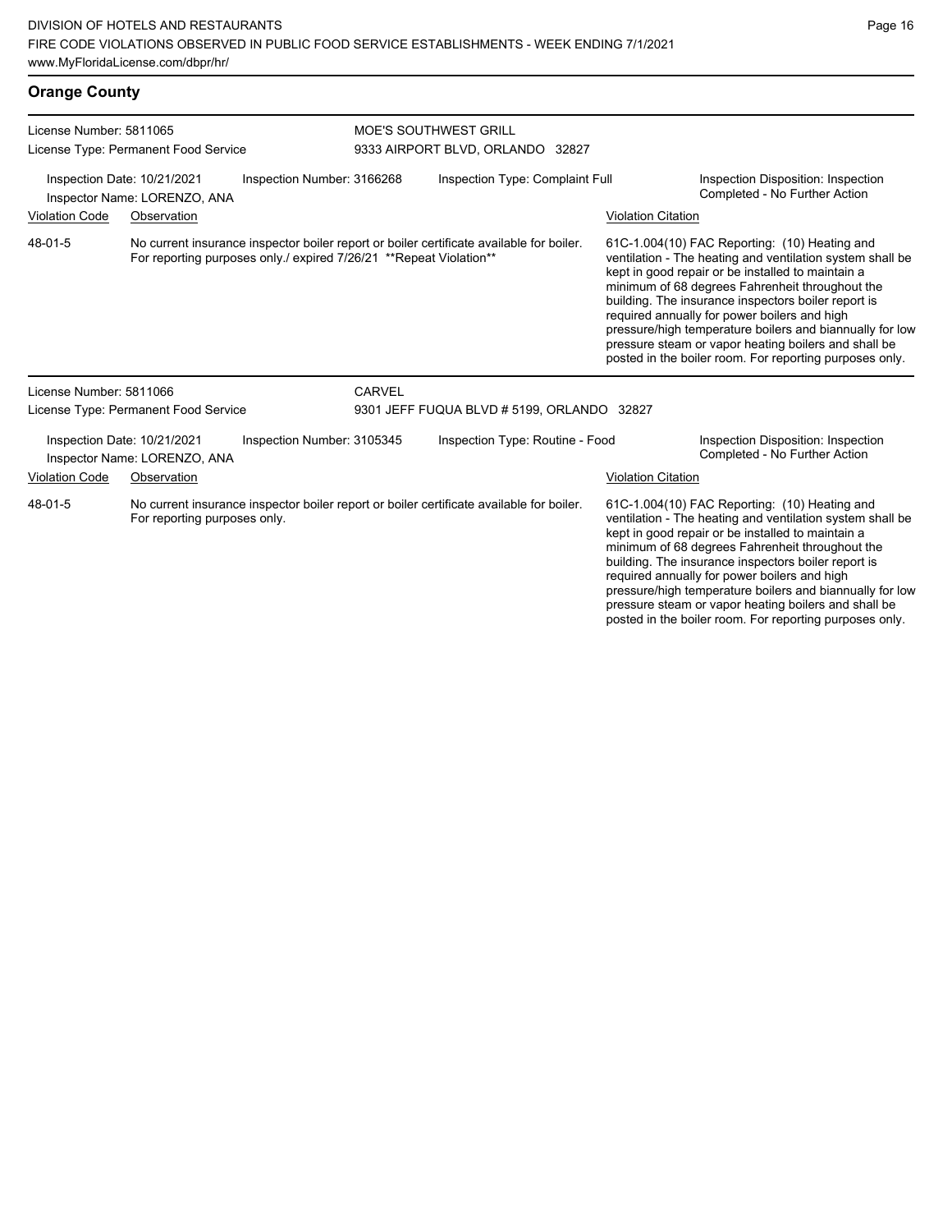|                                                                                           | www.iviyi-ionidaLicense.com/dppi/m/                                                                                      |                                                                    |               |                                                                                          |                                                                                                                                                                                                                                                                                                                                                                                                                                                                                                          |                                                                     |  |
|-------------------------------------------------------------------------------------------|--------------------------------------------------------------------------------------------------------------------------|--------------------------------------------------------------------|---------------|------------------------------------------------------------------------------------------|----------------------------------------------------------------------------------------------------------------------------------------------------------------------------------------------------------------------------------------------------------------------------------------------------------------------------------------------------------------------------------------------------------------------------------------------------------------------------------------------------------|---------------------------------------------------------------------|--|
| <b>Orange County</b>                                                                      |                                                                                                                          |                                                                    |               |                                                                                          |                                                                                                                                                                                                                                                                                                                                                                                                                                                                                                          |                                                                     |  |
| License Number: 5811065                                                                   |                                                                                                                          |                                                                    |               | <b>MOE'S SOUTHWEST GRILL</b>                                                             |                                                                                                                                                                                                                                                                                                                                                                                                                                                                                                          |                                                                     |  |
|                                                                                           | License Type: Permanent Food Service                                                                                     |                                                                    |               | 9333 AIRPORT BLVD, ORLANDO 32827                                                         |                                                                                                                                                                                                                                                                                                                                                                                                                                                                                                          |                                                                     |  |
| Inspection Date: 10/21/2021<br>Inspection Number: 3166268<br>Inspector Name: LORENZO, ANA |                                                                                                                          |                                                                    |               | Inspection Type: Complaint Full                                                          |                                                                                                                                                                                                                                                                                                                                                                                                                                                                                                          | Inspection Disposition: Inspection<br>Completed - No Further Action |  |
| <b>Violation Code</b>                                                                     | Observation                                                                                                              |                                                                    |               |                                                                                          | <b>Violation Citation</b>                                                                                                                                                                                                                                                                                                                                                                                                                                                                                |                                                                     |  |
| 48-01-5                                                                                   |                                                                                                                          | For reporting purposes only./ expired 7/26/21 **Repeat Violation** |               | No current insurance inspector boiler report or boiler certificate available for boiler. | 61C-1.004(10) FAC Reporting: (10) Heating and<br>ventilation - The heating and ventilation system shall be<br>kept in good repair or be installed to maintain a<br>minimum of 68 degrees Fahrenheit throughout the<br>building. The insurance inspectors boiler report is<br>required annually for power boilers and high<br>pressure/high temperature boilers and biannually for low<br>pressure steam or vapor heating boilers and shall be<br>posted in the boiler room. For reporting purposes only. |                                                                     |  |
| License Number: 5811066                                                                   |                                                                                                                          |                                                                    | <b>CARVEL</b> |                                                                                          |                                                                                                                                                                                                                                                                                                                                                                                                                                                                                                          |                                                                     |  |
| License Type: Permanent Food Service                                                      |                                                                                                                          | 9301 JEFF FUQUA BLVD # 5199, ORLANDO 32827                         |               |                                                                                          |                                                                                                                                                                                                                                                                                                                                                                                                                                                                                                          |                                                                     |  |
|                                                                                           | Inspection Date: 10/21/2021<br>Inspector Name: LORENZO, ANA                                                              | Inspection Number: 3105345                                         |               | Inspection Type: Routine - Food                                                          |                                                                                                                                                                                                                                                                                                                                                                                                                                                                                                          | Inspection Disposition: Inspection<br>Completed - No Further Action |  |
| <b>Violation Code</b>                                                                     | Observation                                                                                                              |                                                                    |               |                                                                                          | <b>Violation Citation</b>                                                                                                                                                                                                                                                                                                                                                                                                                                                                                |                                                                     |  |
| 48-01-5                                                                                   | No current insurance inspector boiler report or boiler certificate available for boiler.<br>For reporting purposes only. |                                                                    |               |                                                                                          | 61C-1.004(10) FAC Reporting: (10) Heating and<br>ventilation - The heating and ventilation system shall be                                                                                                                                                                                                                                                                                                                                                                                               |                                                                     |  |

ventilation - The heating and ventilation system shall be kept in good repair or be installed to maintain a minimum of 68 degrees Fahrenheit throughout the building. The insurance inspectors boiler report is required annually for power boilers and high pressure/high temperature boilers and biannually for low pressure steam or vapor heating boilers and shall be posted in the boiler room. For reporting purposes only.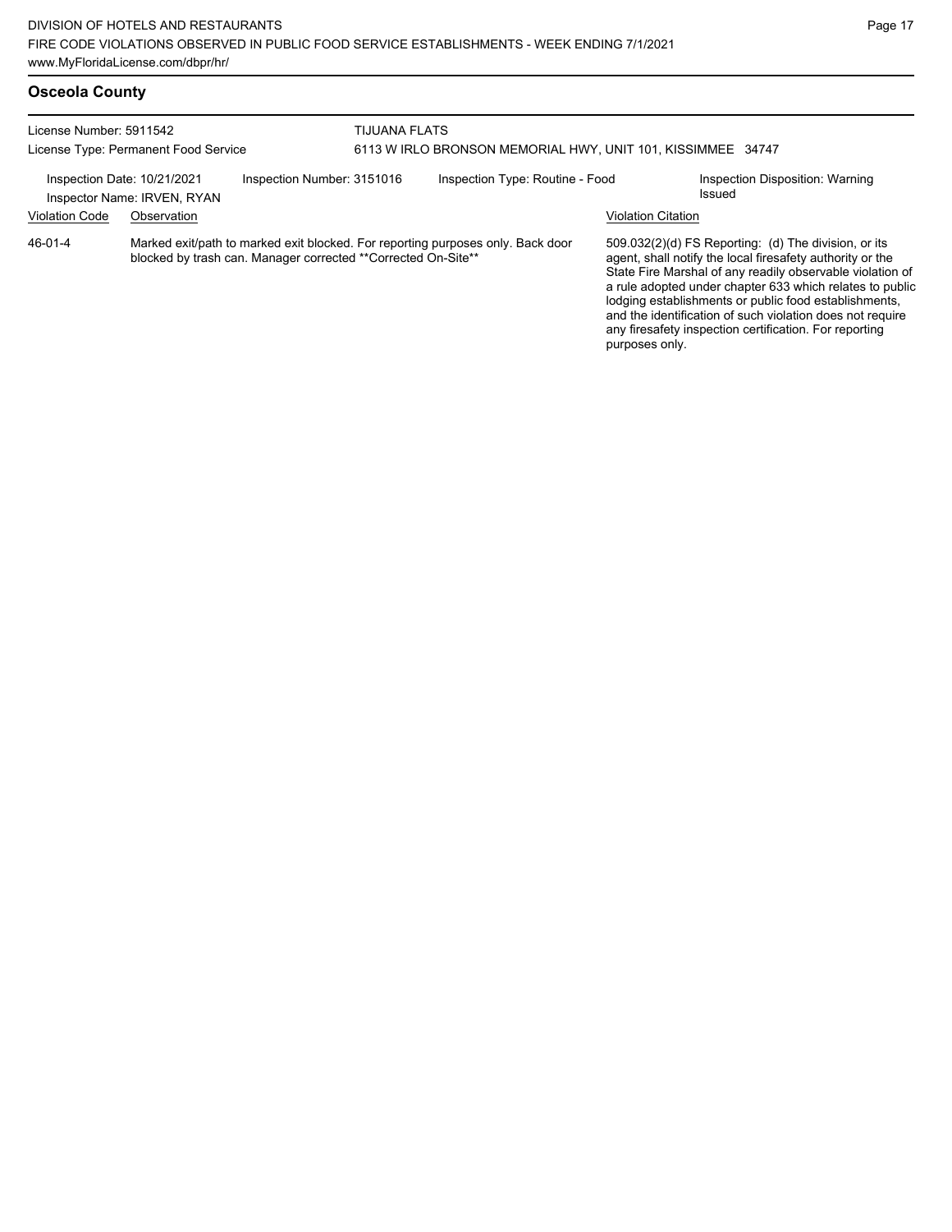| License Number: 5911542     | License Type: Permanent Food Service                                                                                                             | <b>TIJUANA FLATS</b><br>6113 W IRLO BRONSON MEMORIAL HWY, UNIT 101, KISSIMMEE 34747 |                                 |                           |                                                                                                                                                                                                                                                                                                                                                                                                                            |
|-----------------------------|--------------------------------------------------------------------------------------------------------------------------------------------------|-------------------------------------------------------------------------------------|---------------------------------|---------------------------|----------------------------------------------------------------------------------------------------------------------------------------------------------------------------------------------------------------------------------------------------------------------------------------------------------------------------------------------------------------------------------------------------------------------------|
| Inspection Date: 10/21/2021 | Inspection Number: 3151016<br>Inspector Name: IRVEN, RYAN                                                                                        |                                                                                     | Inspection Type: Routine - Food |                           | Inspection Disposition: Warning<br>Issued                                                                                                                                                                                                                                                                                                                                                                                  |
| <b>Violation Code</b>       | Observation                                                                                                                                      |                                                                                     |                                 | <b>Violation Citation</b> |                                                                                                                                                                                                                                                                                                                                                                                                                            |
| 46-01-4                     | Marked exit/path to marked exit blocked. For reporting purposes only. Back door<br>blocked by trash can. Manager corrected **Corrected On-Site** |                                                                                     |                                 | purposes only.            | 509.032(2)(d) FS Reporting: (d) The division, or its<br>agent, shall notify the local firesafety authority or the<br>State Fire Marshal of any readily observable violation of<br>a rule adopted under chapter 633 which relates to public<br>lodging establishments or public food establishments,<br>and the identification of such violation does not require<br>any firesafety inspection certification. For reporting |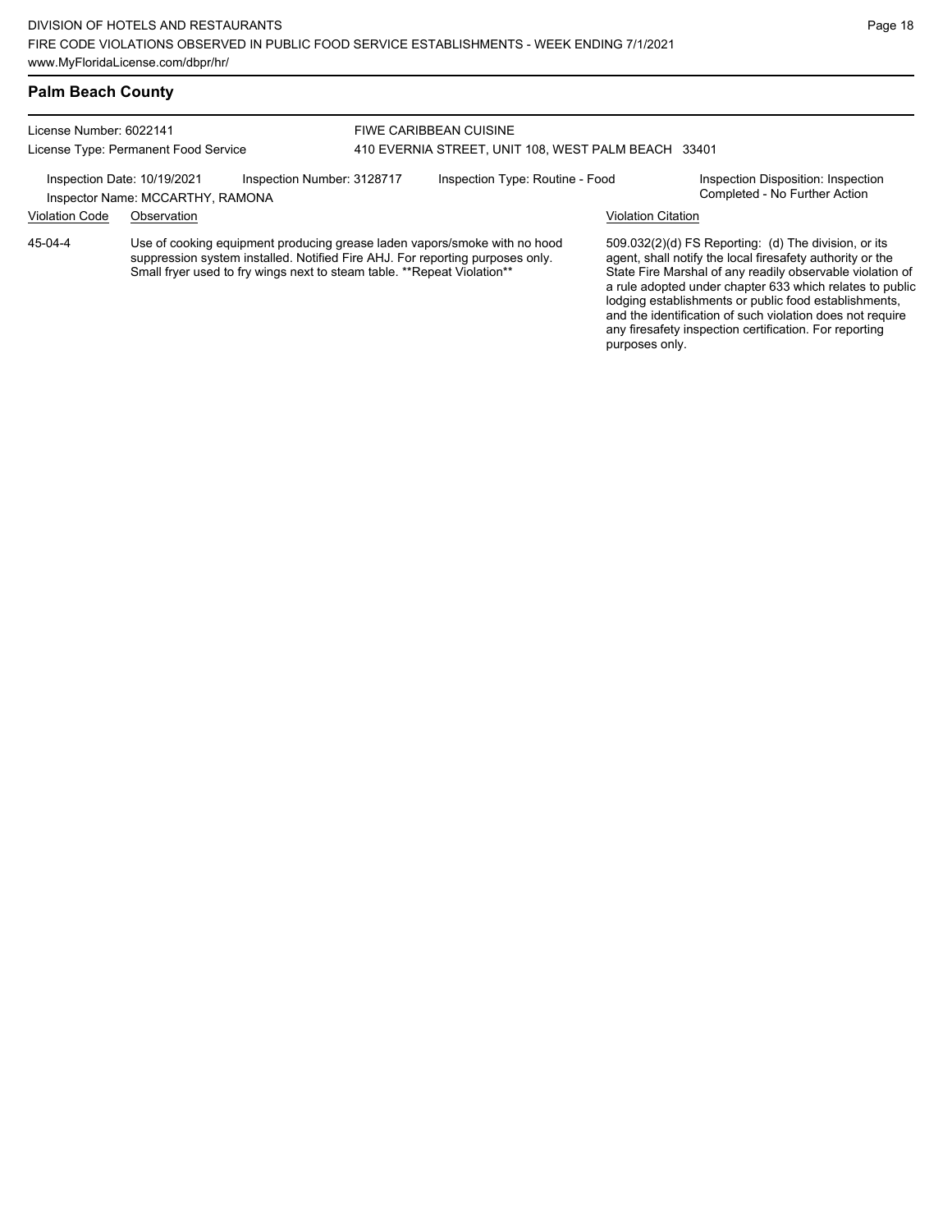#### **Palm Beach County**

License Number: 6022141 License Type: Permanent Food Service FIWE CARIBBEAN CUISINE 410 EVERNIA STREET, UNIT 108, WEST PALM BEACH 33401 Inspection Date: 10/19/2021 Inspection Number: 3128717 Inspection Type: Routine - Food Inspection Disposition: Inspection<br>Inspector Name: MCCARTHY RAMONA Inspector Name: MCCARTHY, RAMONA Violation Code Observation Violation Citation Use of cooking equipment producing grease laden vapors/smoke with no hood suppression system installed. Notified Fire AHJ. For reporting purposes only. Small fryer used to fry wings next to steam table. \*\*Repeat Violation\*\* 509.032(2)(d) FS Reporting: (d) The division, or its agent, shall notify the local firesafety authority or the State Fire Marshal of any readily observable violation of a rule adopted under chapter 633 which relates to public lodging establishments or public food establishments, and the identification of such violation does not require 45-04-4

any firesafety inspection certification. For reporting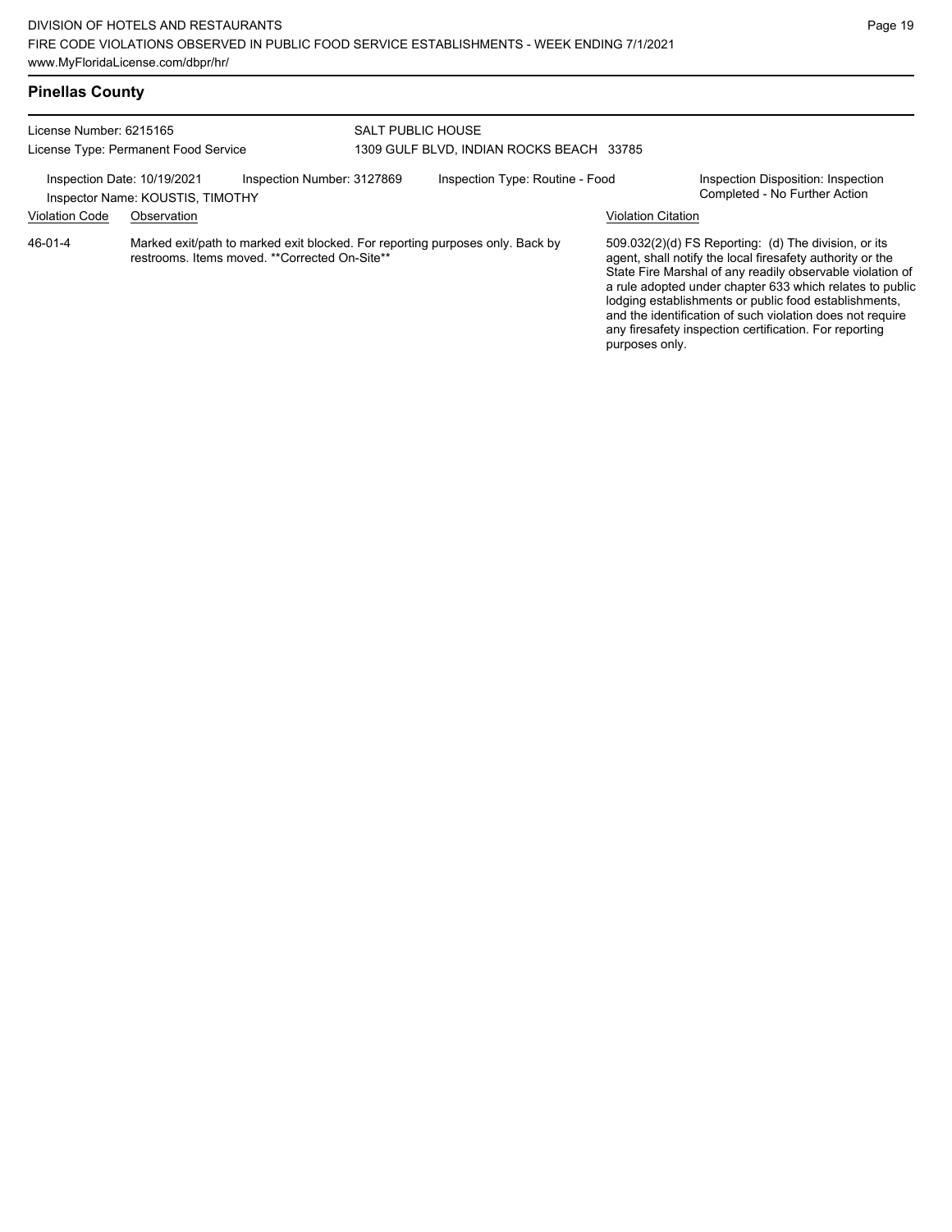## **Pinellas County**

| License Number: 6215165<br>License Type: Permanent Food Service |                                                              |                            | <b>SALT PUBLIC HOUSE</b><br>1309 GULF BLVD. INDIAN ROCKS BEACH 33785 |                                                                               |                                             |                                                                                                                                                                                                                                                                                                                                                                                                                            |
|-----------------------------------------------------------------|--------------------------------------------------------------|----------------------------|----------------------------------------------------------------------|-------------------------------------------------------------------------------|---------------------------------------------|----------------------------------------------------------------------------------------------------------------------------------------------------------------------------------------------------------------------------------------------------------------------------------------------------------------------------------------------------------------------------------------------------------------------------|
| Inspection Date: 10/19/2021<br><b>Violation Code</b>            | Inspector Name: KOUSTIS, TIMOTHY                             | Inspection Number: 3127869 |                                                                      | Inspection Type: Routine - Food                                               |                                             | Inspection Disposition: Inspection<br>Completed - No Further Action                                                                                                                                                                                                                                                                                                                                                        |
| 46-01-4                                                         | Observation<br>restrooms. Items moved. **Corrected On-Site** |                            |                                                                      | Marked exit/path to marked exit blocked. For reporting purposes only. Back by | <b>Violation Citation</b><br>purposes only. | 509.032(2)(d) FS Reporting: (d) The division, or its<br>agent, shall notify the local firesafety authority or the<br>State Fire Marshal of any readily observable violation of<br>a rule adopted under chapter 633 which relates to public<br>lodging establishments or public food establishments,<br>and the identification of such violation does not require<br>any firesafety inspection certification. For reporting |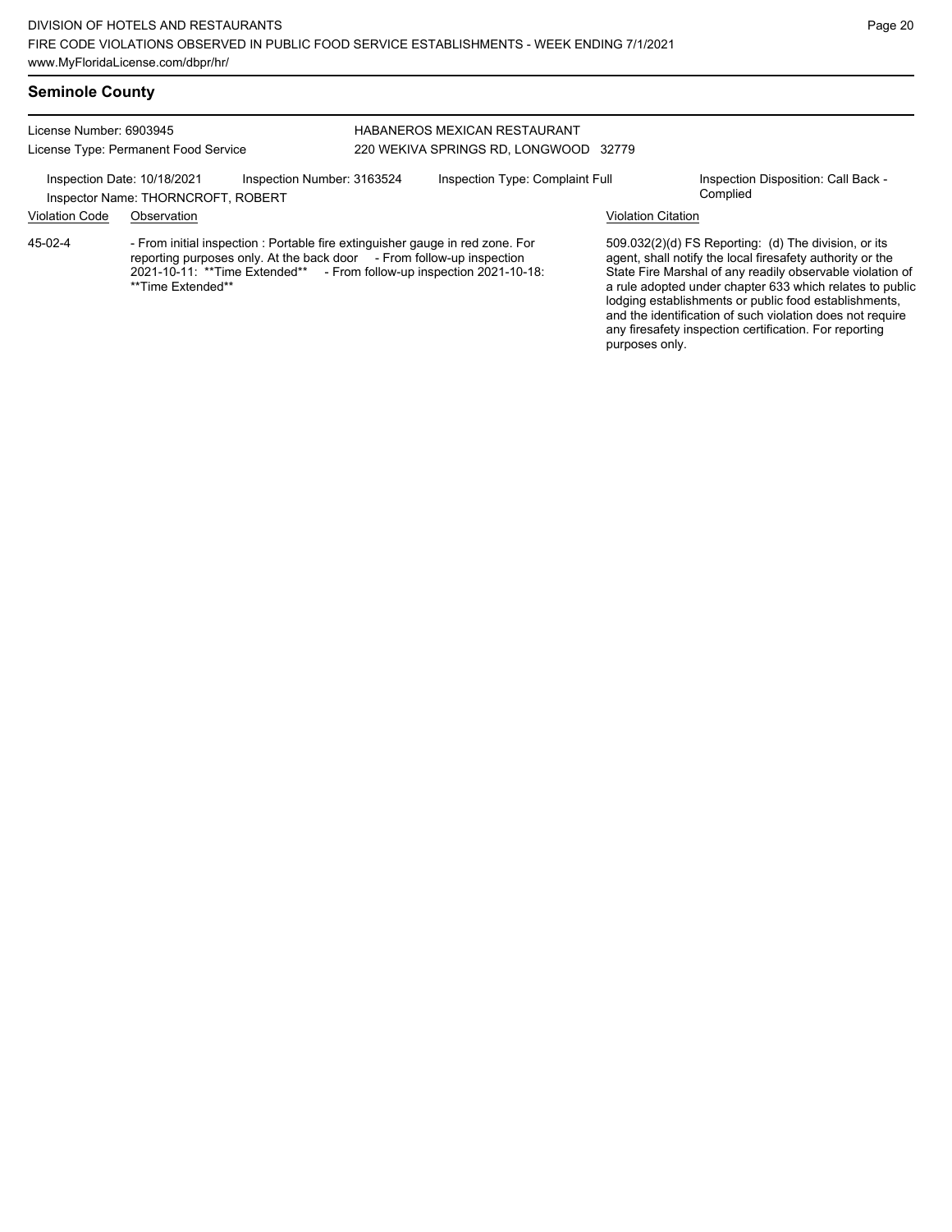#### **Seminole County**

License Number: 6903945 License Type: Permanent Food Service

#### HABANEROS MEXICAN RESTAURANT 220 WEKIVA SPRINGS RD, LONGWOOD 32779

Inspection Date: 10/18/2021 Inspection Number: 3163524 Inspection Type: Complaint Full Inspection Disposition: Call Back -Inspector Name: THORNCROFT, ROBERT **Inspector Name:** THORNCROFT, ROBERT Violation Code Observation Violation Citation - From initial inspection : Portable fire extinguisher gauge in red zone. For reporting purposes only. At the back door From follow-up inspection 2021-10-11: \*\*Time Extended\*\* - From follow-up inspection 2021-10-18: \*\*Time Extended\*\* 509.032(2)(d) FS Reporting: (d) The division, or its agent, shall notify the local firesafety authority or the 45-02-4

State Fire Marshal of any readily observable violation of a rule adopted under chapter 633 which relates to public lodging establishments or public food establishments, and the identification of such violation does not require any firesafety inspection certification. For reporting purposes only.